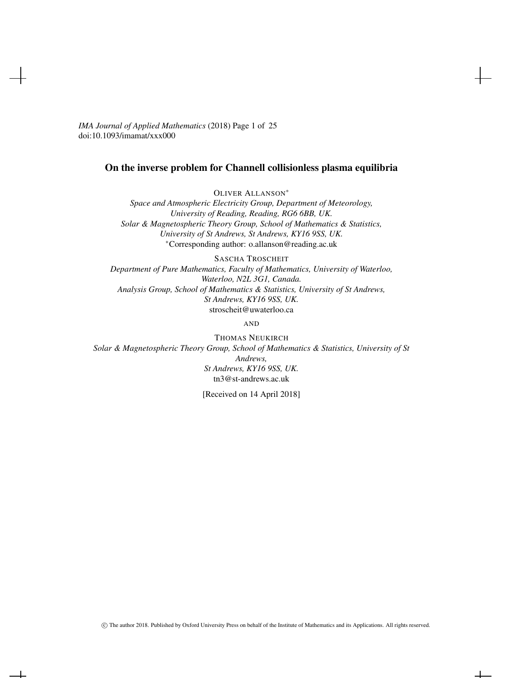*IMA Journal of Applied Mathematics* (2018) Page 1 of 25 doi:10.1093/imamat/xxx000

# On the inverse problem for Channell collisionless plasma equilibria

OLIVER ALLANSON<sup>∗</sup>

*Space and Atmospheric Electricity Group, Department of Meteorology, University of Reading, Reading, RG6 6BB, UK. Solar & Magnetospheric Theory Group, School of Mathematics & Statistics, University of St Andrews, St Andrews, KY16 9SS, UK.* <sup>∗</sup>Corresponding author: o.allanson@reading.ac.uk

SASCHA TROSCHEIT *Department of Pure Mathematics, Faculty of Mathematics, University of Waterloo, Waterloo, N2L 3G1, Canada. Analysis Group, School of Mathematics & Statistics, University of St Andrews, St Andrews, KY16 9SS, UK.* stroscheit@uwaterloo.ca

AND

THOMAS NEUKIRCH *Solar & Magnetospheric Theory Group, School of Mathematics & Statistics, University of St Andrews, St Andrews, KY16 9SS, UK.* tn3@st-andrews.ac.uk

[Received on 14 April 2018]

 $\perp$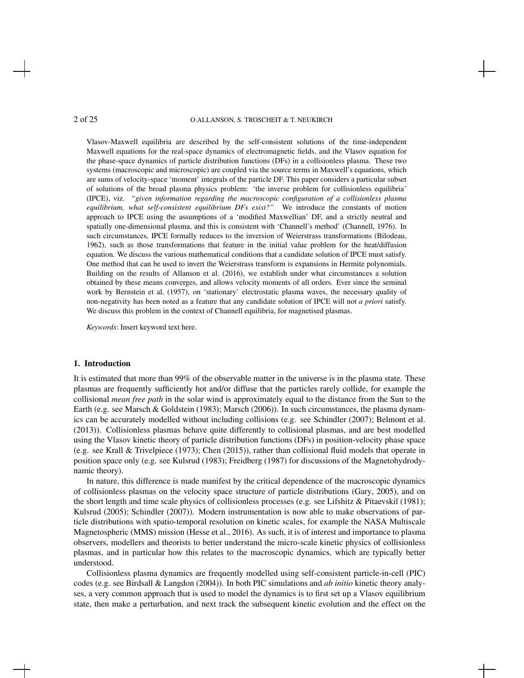Vlasov-Maxwell equilibria are described by the self-consistent solutions of the time-independent Maxwell equations for the real-space dynamics of electromagnetic fields, and the Vlasov equation for the phase-space dynamics of particle distribution functions (DFs) in a collisionless plasma. These two systems (macroscopic and microscopic) are coupled via the source terms in Maxwell's equations, which are sums of velocity-space 'moment' integrals of the particle DF. This paper considers a particular subset of solutions of the broad plasma physics problem: 'the inverse problem for collisionless equilibria' (IPCE), viz. *"given information regarding the macroscopic configuration of a collisionless plasma equilibrium, what self-consistent equilibrium DFs exist?"* We introduce the constants of motion approach to IPCE using the assumptions of a 'modified Maxwellian' DF, and a strictly neutral and spatially one-dimensional plasma, and this is consistent with 'Channell's method' (Channell, 1976). In such circumstances, IPCE formally reduces to the inversion of Weierstrass transformations (Bilodeau, 1962), such as those transformations that feature in the initial value problem for the heat/diffusion equation. We discuss the various mathematical conditions that a candidate solution of IPCE must satisfy. One method that can be used to invert the Weierstrass transform is expansions in Hermite polynomials. Building on the results of Allanson et al. (2016), we establish under what circumstances a solution obtained by these means converges, and allows velocity moments of all orders. Ever since the seminal work by Bernstein et al. (1957), on 'stationary' electrostatic plasma waves, the necessary quality of non-negativity has been noted as a feature that any candidate solution of IPCE will not *a priori* satisfy. We discuss this problem in the context of Channell equilibria, for magnetised plasmas.

*Keywords*: Insert keyword text here.

#### 1. Introduction

It is estimated that more than 99% of the observable matter in the universe is in the plasma state. These plasmas are frequently sufficiently hot and/or diffuse that the particles rarely collide, for example the collisional *mean free path* in the solar wind is approximately equal to the distance from the Sun to the Earth (e.g. see Marsch & Goldstein (1983); Marsch (2006)). In such circumstances, the plasma dynamics can be accurately modelled without including collisions (e.g. see Schindler (2007); Belmont et al. (2013)). Collisionless plasmas behave quite differently to collisional plasmas, and are best modelled using the Vlasov kinetic theory of particle distribution functions (DFs) in position-velocity phase space (e.g. see Krall & Trivelpiece (1973); Chen (2015)), rather than collisional fluid models that operate in position space only (e.g. see Kulsrud (1983); Freidberg (1987) for discussions of the Magnetohydrodynamic theory).

In nature, this difference is made manifest by the critical dependence of the macroscopic dynamics of collisionless plasmas on the velocity space structure of particle distributions (Gary, 2005), and on the short length and time scale physics of collisionless processes (e.g. see Lifshitz & Pitaevski˘ı (1981); Kulsrud (2005); Schindler (2007)). Modern instrumentation is now able to make observations of particle distributions with spatio-temporal resolution on kinetic scales, for example the NASA Multiscale Magnetospheric (MMS) mission (Hesse et al., 2016). As such, it is of interest and importance to plasma observers, modellers and theorists to better understand the micro-scale kinetic physics of collisionless plasmas, and in particular how this relates to the macroscopic dynamics, which are typically better understood.

Collisionless plasma dynamics are frequently modelled using self-consistent particle-in-cell (PIC) codes (e.g. see Birdsall & Langdon (2004)). In both PIC simulations and *ab initio* kinetic theory analyses, a very common approach that is used to model the dynamics is to first set up a Vlasov equilibrium state, then make a perturbation, and next track the subsequent kinetic evolution and the effect on the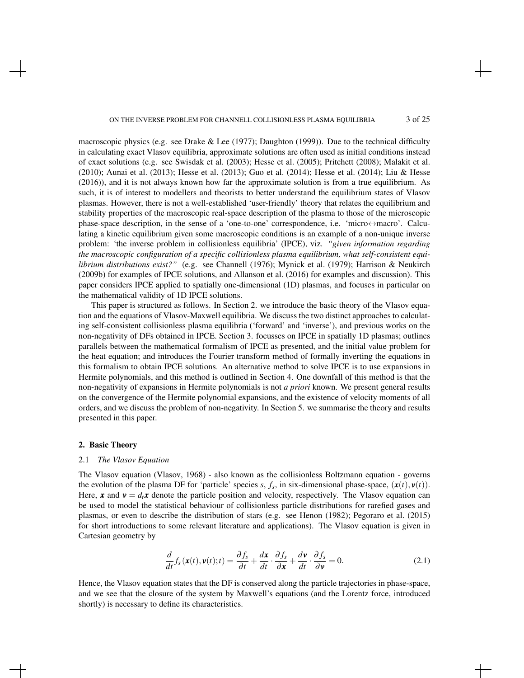macroscopic physics (e.g. see Drake & Lee (1977); Daughton (1999)). Due to the technical difficulty in calculating exact Vlasov equilibria, approximate solutions are often used as initial conditions instead of exact solutions (e.g. see Swisdak et al. (2003); Hesse et al. (2005); Pritchett (2008); Malakit et al. (2010); Aunai et al. (2013); Hesse et al. (2013); Guo et al. (2014); Hesse et al. (2014); Liu & Hesse (2016)), and it is not always known how far the approximate solution is from a true equilibrium. As such, it is of interest to modellers and theorists to better understand the equilibrium states of Vlasov plasmas. However, there is not a well-established 'user-friendly' theory that relates the equilibrium and stability properties of the macroscopic real-space description of the plasma to those of the microscopic phase-space description, in the sense of a 'one-to-one' correspondence, i.e. 'micro $\leftrightarrow$ macro'. Calculating a kinetic equilibrium given some macroscopic conditions is an example of a non-unique inverse problem: 'the inverse problem in collisionless equilibria' (IPCE), viz. *"given information regarding the macroscopic configuration of a specific collisionless plasma equilibrium, what self-consistent equilibrium distributions exist?"* (e.g. see Channell (1976); Mynick et al. (1979); Harrison & Neukirch (2009b) for examples of IPCE solutions, and Allanson et al. (2016) for examples and discussion). This paper considers IPCE applied to spatially one-dimensional (1D) plasmas, and focuses in particular on the mathematical validity of 1D IPCE solutions.

This paper is structured as follows. In Section 2. we introduce the basic theory of the Vlasov equation and the equations of Vlasov-Maxwell equilibria. We discuss the two distinct approaches to calculating self-consistent collisionless plasma equilibria ('forward' and 'inverse'), and previous works on the non-negativity of DFs obtained in IPCE. Section 3. focusses on IPCE in spatially 1D plasmas; outlines parallels between the mathematical formalism of IPCE as presented, and the initial value problem for the heat equation; and introduces the Fourier transform method of formally inverting the equations in this formalism to obtain IPCE solutions. An alternative method to solve IPCE is to use expansions in Hermite polynomials, and this method is outlined in Section 4. One downfall of this method is that the non-negativity of expansions in Hermite polynomials is not *a priori* known. We present general results on the convergence of the Hermite polynomial expansions, and the existence of velocity moments of all orders, and we discuss the problem of non-negativity. In Section 5. we summarise the theory and results presented in this paper.

#### 2. Basic Theory

#### 2.1 *The Vlasov Equation*

The Vlasov equation (Vlasov, 1968) - also known as the collisionless Boltzmann equation - governs the evolution of the plasma DF for 'particle' species *s*,  $f_s$ , in six-dimensional phase-space,  $(\mathbf{x}(t), \mathbf{v}(t))$ . Here, x and  $v = d_t x$  denote the particle position and velocity, respectively. The Vlasov equation can be used to model the statistical behaviour of collisionless particle distributions for rarefied gases and plasmas, or even to describe the distribution of stars (e.g. see Henon (1982); Pegoraro et al. (2015) for short introductions to some relevant literature and applications). The Vlasov equation is given in Cartesian geometry by

$$
\frac{d}{dt}f_s(\mathbf{x}(t),\mathbf{v}(t);t) = \frac{\partial f_s}{\partial t} + \frac{d\mathbf{x}}{dt} \cdot \frac{\partial f_s}{\partial \mathbf{x}} + \frac{d\mathbf{v}}{dt} \cdot \frac{\partial f_s}{\partial \mathbf{v}} = 0.
$$
\n(2.1)

Hence, the Vlasov equation states that the DF is conserved along the particle trajectories in phase-space, and we see that the closure of the system by Maxwell's equations (and the Lorentz force, introduced shortly) is necessary to define its characteristics.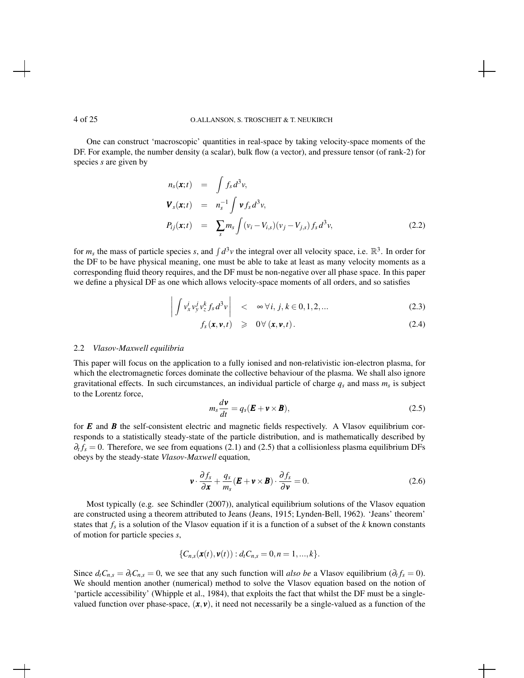One can construct 'macroscopic' quantities in real-space by taking velocity-space moments of the DF. For example, the number density (a scalar), bulk flow (a vector), and pressure tensor (of rank-2) for species *s* are given by

$$
n_s(\mathbf{x};t) = \int f_s d^3 v,
$$
  
\n
$$
\mathbf{V}_s(\mathbf{x};t) = n_s^{-1} \int \mathbf{v} f_s d^3 v,
$$
  
\n
$$
P_{ij}(\mathbf{x};t) = \sum_s m_s \int (v_i - V_{i,s})(v_j - V_{j,s}) f_s d^3 v,
$$
\n(2.2)

for  $m_s$  the mass of particle species *s*, and  $\int d^3v$  the integral over all velocity space, i.e.  $\mathbb{R}^3$ . In order for the DF to be have physical meaning, one must be able to take at least as many velocity moments as a corresponding fluid theory requires, and the DF must be non-negative over all phase space. In this paper we define a physical DF as one which allows velocity-space moments of all orders, and so satisfies

$$
\left| \int v_x^i v_y^j v_z^k f_s d^3 v \right| \quad < \quad \infty \, \forall i, j, k \in [0, 1, 2, \dots \tag{2.3}
$$

$$
f_s(\mathbf{x}, \mathbf{v}, t) \geq 0 \forall (\mathbf{x}, \mathbf{v}, t).
$$
 (2.4)

### 2.2 *Vlasov-Maxwell equilibria*

This paper will focus on the application to a fully ionised and non-relativistic ion-electron plasma, for which the electromagnetic forces dominate the collective behaviour of the plasma. We shall also ignore gravitational effects. In such circumstances, an individual particle of charge *q<sup>s</sup>* and mass *m<sup>s</sup>* is subject to the Lorentz force,

$$
m_s \frac{d\mathbf{v}}{dt} = q_s (\mathbf{E} + \mathbf{v} \times \mathbf{B}), \tag{2.5}
$$

for *E* and *B* the self-consistent electric and magnetic fields respectively. A Vlasov equilibrium corresponds to a statistically steady-state of the particle distribution, and is mathematically described by  $\partial_t f_s = 0$ . Therefore, we see from equations (2.1) and (2.5) that a collisionless plasma equilibrium DFs obeys by the steady-state *Vlasov-Maxwell* equation,

$$
\mathbf{v} \cdot \frac{\partial f_s}{\partial \mathbf{x}} + \frac{q_s}{m_s} (\mathbf{E} + \mathbf{v} \times \mathbf{B}) \cdot \frac{\partial f_s}{\partial \mathbf{v}} = 0.
$$
 (2.6)

Most typically (e.g. see Schindler (2007)), analytical equilibrium solutions of the Vlasov equation are constructed using a theorem attributed to Jeans (Jeans, 1915; Lynden-Bell, 1962). 'Jeans' theorem' states that *f<sup>s</sup>* is a solution of the Vlasov equation if it is a function of a subset of the *k* known constants of motion for particle species *s*,

$$
\{C_{n,s}(\mathbf{x}(t),\mathbf{v}(t)):d_t C_{n,s}=0,n=1,...,k\}.
$$

Since  $d_t C_{n,s} = \partial_t C_{n,s} = 0$ , we see that any such function will *also be* a Vlasov equilibrium ( $\partial_t f_s = 0$ ). We should mention another (numerical) method to solve the Vlasov equation based on the notion of 'particle accessibility' (Whipple et al., 1984), that exploits the fact that whilst the DF must be a singlevalued function over phase-space,  $(x, y)$ , it need not necessarily be a single-valued as a function of the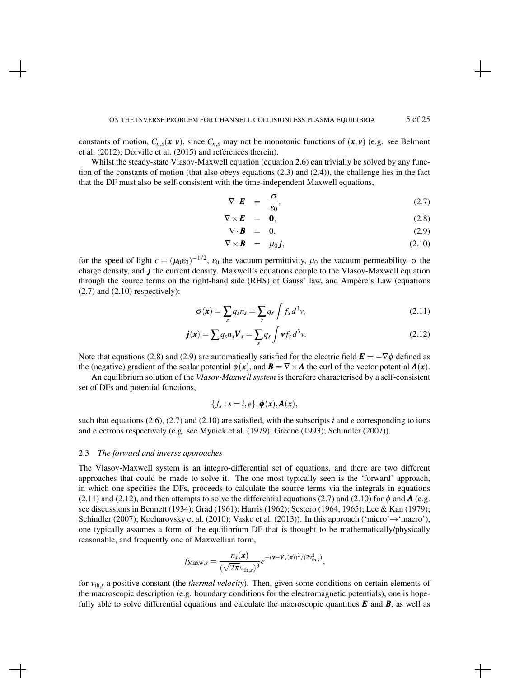constants of motion,  $C_{n,s}(\mathbf{x}, \mathbf{v})$ , since  $C_{n,s}$  may not be monotonic functions of  $(\mathbf{x}, \mathbf{v})$  (e.g. see Belmont et al. (2012); Dorville et al. (2015) and references therein).

Whilst the steady-state Vlasov-Maxwell equation (equation 2.6) can trivially be solved by any function of the constants of motion (that also obeys equations (2.3) and (2.4)), the challenge lies in the fact that the DF must also be self-consistent with the time-independent Maxwell equations,

$$
\nabla \cdot \boldsymbol{E} = \frac{\sigma}{\varepsilon_0}, \tag{2.7}
$$

$$
\nabla \times \boldsymbol{E} = \boldsymbol{0}, \tag{2.8}
$$

$$
\nabla \cdot \mathbf{B} = 0, \tag{2.9}
$$

$$
\nabla \times \boldsymbol{B} = \mu_0 \boldsymbol{j}, \qquad (2.10)
$$

for the speed of light  $c = (\mu_0 \varepsilon_0)^{-1/2}$ ,  $\varepsilon_0$  the vacuum permittivity,  $\mu_0$  the vacuum permeability,  $\sigma$  the charge density, and *j* the current density. Maxwell's equations couple to the Vlasov-Maxwell equation through the source terms on the right-hand side (RHS) of Gauss' law, and Ampere's Law (equations `  $(2.7)$  and  $(2.10)$  respectively):

$$
\sigma(\mathbf{x}) = \sum_{s} q_{s} n_{s} = \sum_{s} q_{s} \int f_{s} d^{3} v,
$$
\n(2.11)

$$
\boldsymbol{j}(\boldsymbol{x}) = \sum q_s n_s \boldsymbol{V}_s = \sum_s q_s \int \boldsymbol{v} f_s \, d^3 v. \tag{2.12}
$$

Note that equations (2.8) and (2.9) are automatically satisfied for the electric field  $\mathbf{E} = -\nabla \phi$  defined as the (negative) gradient of the scalar potential  $\phi(\mathbf{x})$ , and  $\mathbf{B} = \nabla \times \mathbf{A}$  the curl of the vector potential  $\mathbf{A}(\mathbf{x})$ .

An equilibrium solution of the *Vlasov-Maxwell system* is therefore characterised by a self-consistent set of DFs and potential functions,

$$
\{f_s: s=i,e\}, \boldsymbol{\phi}(\boldsymbol{x}), \boldsymbol{A}(\boldsymbol{x}),
$$

such that equations (2.6), (2.7) and (2.10) are satisfied, with the subscripts *i* and *e* corresponding to ions and electrons respectively (e.g. see Mynick et al. (1979); Greene (1993); Schindler (2007)).

#### 2.3 *The forward and inverse approaches*

The Vlasov-Maxwell system is an integro-differential set of equations, and there are two different approaches that could be made to solve it. The one most typically seen is the 'forward' approach, in which one specifies the DFs, proceeds to calculate the source terms via the integrals in equations (2.11) and (2.12), and then attempts to solve the differential equations (2.7) and (2.10) for  $\phi$  and **A** (e.g. see discussions in Bennett (1934); Grad (1961); Harris (1962); Sestero (1964, 1965); Lee & Kan (1979); Schindler (2007); Kocharovsky et al. (2010); Vasko et al. (2013)). In this approach ('micro' $\rightarrow$ 'macro'), one typically assumes a form of the equilibrium DF that is thought to be mathematically/physically reasonable, and frequently one of Maxwellian form,

$$
f_{\text{Maxw},s} = \frac{n_s(\mathbf{x})}{(\sqrt{2\pi}v_{\text{th},s})^3}e^{-(\mathbf{v}-\mathbf{V}_s(\mathbf{x}))^2/(2v_{\text{th},s}^2)},
$$

for *v*th,*<sup>s</sup>* a positive constant (the *thermal velocity*). Then, given some conditions on certain elements of the macroscopic description (e.g. boundary conditions for the electromagnetic potentials), one is hopefully able to solve differential equations and calculate the macroscopic quantities  $E$  and  $B$ , as well as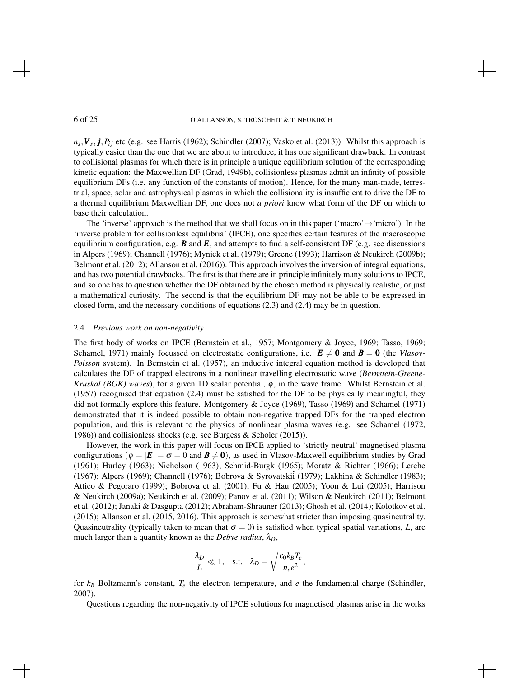$n_s$ ,  $V_s$ ,  $j$ ,  $P_{ij}$  etc (e.g. see Harris (1962); Schindler (2007); Vasko et al. (2013)). Whilst this approach is typically easier than the one that we are about to introduce, it has one significant drawback. In contrast to collisional plasmas for which there is in principle a unique equilibrium solution of the corresponding kinetic equation: the Maxwellian DF (Grad, 1949b), collisionless plasmas admit an infinity of possible equilibrium DFs (i.e. any function of the constants of motion). Hence, for the many man-made, terrestrial, space, solar and astrophysical plasmas in which the collisionality is insufficient to drive the DF to a thermal equilibrium Maxwellian DF, one does not *a priori* know what form of the DF on which to base their calculation.

The 'inverse' approach is the method that we shall focus on in this paper ('macro' $\rightarrow$ 'micro'). In the 'inverse problem for collisionless equilibria' (IPCE), one specifies certain features of the macroscopic equilibrium configuration, e.g.  $\vec{B}$  and  $\vec{E}$ , and attempts to find a self-consistent DF (e.g. see discussions in Alpers (1969); Channell (1976); Mynick et al. (1979); Greene (1993); Harrison & Neukirch (2009b); Belmont et al. (2012); Allanson et al. (2016)). This approach involves the inversion of integral equations, and has two potential drawbacks. The first is that there are in principle infinitely many solutions to IPCE, and so one has to question whether the DF obtained by the chosen method is physically realistic, or just a mathematical curiosity. The second is that the equilibrium DF may not be able to be expressed in closed form, and the necessary conditions of equations (2.3) and (2.4) may be in question.

#### 2.4 *Previous work on non-negativity*

The first body of works on IPCE (Bernstein et al., 1957; Montgomery & Joyce, 1969; Tasso, 1969; Schamel, 1971) mainly focussed on electrostatic configurations, i.e.  $\mathbf{E} \neq \mathbf{0}$  and  $\mathbf{B} = \mathbf{0}$  (the *Vlasov-Poisson* system). In Bernstein et al. (1957), an inductive integral equation method is developed that calculates the DF of trapped electrons in a nonlinear travelling electrostatic wave (*Bernstein-Greene-Kruskal (BGK) waves*), for a given 1D scalar potential, φ, in the wave frame. Whilst Bernstein et al. (1957) recognised that equation (2.4) must be satisfied for the DF to be physically meaningful, they did not formally explore this feature. Montgomery & Joyce (1969), Tasso (1969) and Schamel (1971) demonstrated that it is indeed possible to obtain non-negative trapped DFs for the trapped electron population, and this is relevant to the physics of nonlinear plasma waves (e.g. see Schamel (1972, 1986)) and collisionless shocks (e.g. see Burgess & Scholer (2015)).

However, the work in this paper will focus on IPCE applied to 'strictly neutral' magnetised plasma configurations ( $\phi = |E| = \sigma = 0$  and  $\mathbf{B} \neq \mathbf{0}$ ), as used in Vlasov-Maxwell equilibrium studies by Grad (1961); Hurley (1963); Nicholson (1963); Schmid-Burgk (1965); Moratz & Richter (1966); Lerche (1967); Alpers (1969); Channell (1976); Bobrova & Syrovatskii (1979); Lakhina & Schindler (1983); Attico & Pegoraro (1999); Bobrova et al. (2001); Fu & Hau (2005); Yoon & Lui (2005); Harrison & Neukirch (2009a); Neukirch et al. (2009); Panov et al. (2011); Wilson & Neukirch (2011); Belmont et al. (2012); Janaki & Dasgupta (2012); Abraham-Shrauner (2013); Ghosh et al. (2014); Kolotkov et al. (2015); Allanson et al. (2015, 2016). This approach is somewhat stricter than imposing quasineutrality. Quasineutrality (typically taken to mean that  $\sigma = 0$ ) is satisfied when typical spatial variations, *L*, are much larger than a quantity known as the *Debye radius*,  $\lambda_D$ ,

$$
\frac{\lambda_D}{L} \ll 1, \quad \text{s.t.} \quad \lambda_D = \sqrt{\frac{\varepsilon_0 k_B T_e}{n_e e^2}},
$$

for *k<sup>B</sup>* Boltzmann's constant, *T<sup>e</sup>* the electron temperature, and *e* the fundamental charge (Schindler, 2007).

Questions regarding the non-negativity of IPCE solutions for magnetised plasmas arise in the works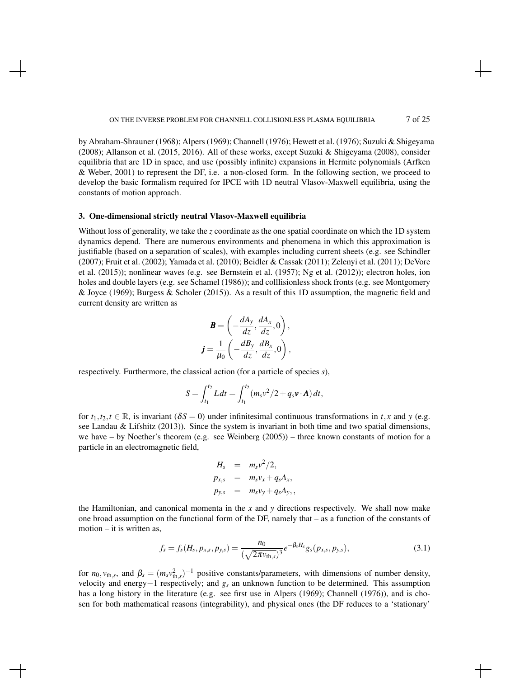by Abraham-Shrauner (1968); Alpers (1969); Channell (1976); Hewett et al. (1976); Suzuki & Shigeyama (2008); Allanson et al. (2015, 2016). All of these works, except Suzuki & Shigeyama (2008), consider equilibria that are 1D in space, and use (possibly infinite) expansions in Hermite polynomials (Arfken & Weber, 2001) to represent the DF, i.e. a non-closed form. In the following section, we proceed to develop the basic formalism required for IPCE with 1D neutral Vlasov-Maxwell equilibria, using the constants of motion approach.

## 3. One-dimensional strictly neutral Vlasov-Maxwell equilibria

Without loss of generality, we take the *z* coordinate as the one spatial coordinate on which the 1D system dynamics depend. There are numerous environments and phenomena in which this approximation is justifiable (based on a separation of scales), with examples including current sheets (e.g. see Schindler (2007); Fruit et al. (2002); Yamada et al. (2010); Beidler & Cassak (2011); Zelenyi et al. (2011); DeVore et al. (2015)); nonlinear waves (e.g. see Bernstein et al. (1957); Ng et al. (2012)); electron holes, ion holes and double layers (e.g. see Schamel (1986)); and colllisionless shock fronts (e.g. see Montgomery & Joyce (1969); Burgess & Scholer (2015)). As a result of this 1D assumption, the magnetic field and current density are written as

$$
\mathbf{B} = \left(-\frac{dA_y}{dz}, \frac{dA_x}{dz}, 0\right),\,
$$

$$
\mathbf{j} = \frac{1}{\mu_0} \left(-\frac{dB_y}{dz}, \frac{dB_x}{dz}, 0\right),\,
$$

respectively. Furthermore, the classical action (for a particle of species *s*),

$$
S = \int_{t_1}^{t_2} L dt = \int_{t_1}^{t_2} (m_s v^2 / 2 + q_s \mathbf{v} \cdot \mathbf{A}) dt,
$$

for  $t_1, t_2, t \in \mathbb{R}$ , is invariant ( $\delta S = 0$ ) under infinitesimal continuous transformations in  $t, x$  and  $y$  (e.g. see Landau & Lifshitz (2013)). Since the system is invariant in both time and two spatial dimensions, we have – by Noether's theorem (e.g. see Weinberg (2005)) – three known constants of motion for a particle in an electromagnetic field,

$$
H_s = m_s v^2/2,
$$
  
\n
$$
p_{x,s} = m_s v_x + q_s A_x,
$$
  
\n
$$
p_{y,s} = m_s v_y + q_s A_y,
$$

the Hamiltonian, and canonical momenta in the  $x$  and  $y$  directions respectively. We shall now make one broad assumption on the functional form of the DF, namely that – as a function of the constants of motion – it is written as,

$$
f_s = f_s(H_s, p_{x,s}, p_{y,s}) = \frac{n_0}{(\sqrt{2\pi v_{\text{th},s}})^3} e^{-\beta_s H_s} g_s(p_{x,s}, p_{y,s}),
$$
\n(3.1)

for  $n_0$ ,  $v_{\text{th},s}$ , and  $\beta_s = (m_s v_{\text{th},s}^2)^{-1}$  positive constants/parameters, with dimensions of number density, velocity and energy−1 respectively; and *g<sup>s</sup>* an unknown function to be determined. This assumption has a long history in the literature (e.g. see first use in Alpers (1969); Channell (1976)), and is chosen for both mathematical reasons (integrability), and physical ones (the DF reduces to a 'stationary'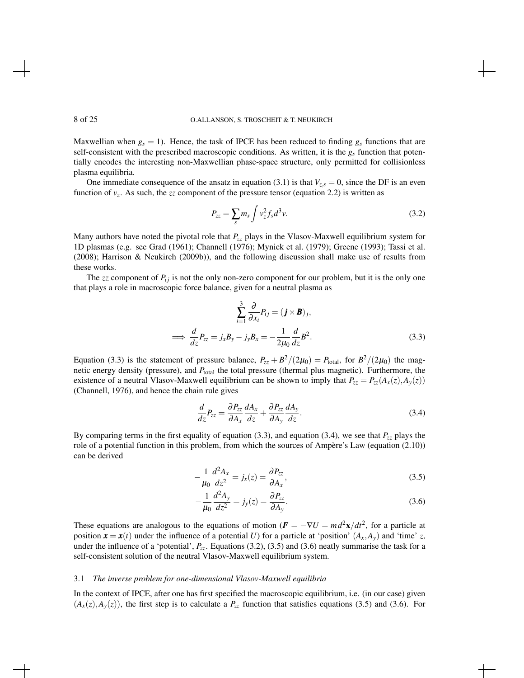Maxwellian when  $g_s = 1$ ). Hence, the task of IPCE has been reduced to finding  $g_s$  functions that are self-consistent with the prescribed macroscopic conditions. As written, it is the *g<sup>s</sup>* function that potentially encodes the interesting non-Maxwellian phase-space structure, only permitted for collisionless plasma equilibria.

One immediate consequence of the ansatz in equation (3.1) is that  $V_{z,s} = 0$ , since the DF is an even function of  $v_z$ . As such, the *zz* component of the pressure tensor (equation 2.2) is written as

$$
P_{zz} = \sum_{s} m_s \int v_z^2 f_s d^3 v. \tag{3.2}
$$

Many authors have noted the pivotal role that *Pzz* plays in the Vlasov-Maxwell equilibrium system for 1D plasmas (e.g. see Grad (1961); Channell (1976); Mynick et al. (1979); Greene (1993); Tassi et al. (2008); Harrison & Neukirch (2009b)), and the following discussion shall make use of results from these works.

The  $zz$  component of  $P_{ij}$  is not the only non-zero component for our problem, but it is the only one that plays a role in macroscopic force balance, given for a neutral plasma as

$$
\sum_{i=1}^{3} \frac{\partial}{\partial x_i} P_{ij} = (\mathbf{j} \times \mathbf{B})_j,
$$
  
\n
$$
\implies \frac{d}{dz} P_{zz} = j_x B_y - j_y B_x = -\frac{1}{2\mu_0} \frac{d}{dz} B^2.
$$
\n(3.3)

Equation (3.3) is the statement of pressure balance,  $P_{zz} + B^2/(2\mu_0) = P_{\text{total}}$ , for  $B^2/(2\mu_0)$  the magnetic energy density (pressure), and  $P_{total}$  the total pressure (thermal plus magnetic). Furthermore, the existence of a neutral Vlasov-Maxwell equilibrium can be shown to imply that  $P_{zz} = P_{zz}(A_x(z), A_y(z))$ (Channell, 1976), and hence the chain rule gives

$$
\frac{d}{dz}P_{zz} = \frac{\partial P_{zz}}{\partial A_x}\frac{dA_x}{dz} + \frac{\partial P_{zz}}{\partial A_y}\frac{dA_y}{dz}.
$$
\n(3.4)

By comparing terms in the first equality of equation (3.3), and equation (3.4), we see that  $P_{zz}$  plays the role of a potential function in this problem, from which the sources of Ampère's Law (equation (2.10)) can be derived

$$
-\frac{1}{\mu_0} \frac{d^2 A_x}{dz^2} = j_x(z) = \frac{\partial P_{zz}}{\partial A_x},\tag{3.5}
$$

$$
-\frac{1}{\mu_0} \frac{d^2 A_y}{dz^2} = j_y(z) = \frac{\partial P_{zz}}{\partial A_y}.
$$
\n(3.6)

These equations are analogous to the equations of motion  $(\mathbf{F} = -\nabla U = md^2\mathbf{x}/dt^2)$ , for a particle at position  $\mathbf{x} = \mathbf{x}(t)$  under the influence of a potential *U*) for a particle at 'position'  $(A_x, A_y)$  and 'time' *z*, under the influence of a 'potential', *Pzz*. Equations (3.2), (3.5) and (3.6) neatly summarise the task for a self-consistent solution of the neutral Vlasov-Maxwell equilibrium system.

### 3.1 *The inverse problem for one-dimensional Vlasov-Maxwell equilibria*

In the context of IPCE, after one has first specified the macroscopic equilibrium, i.e. (in our case) given  $(A_x(z), A_y(z))$ , the first step is to calculate a  $P_{zz}$  function that satisfies equations (3.5) and (3.6). For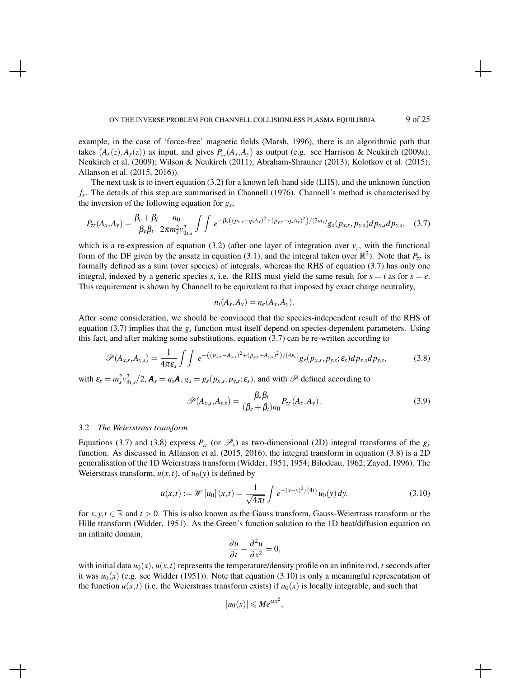example, in the case of 'force-free' magnetic fields (Marsh, 1996), there is an algorithmic path that takes  $(A_x(z), A_y(z))$  as input, and gives  $P_{zz}(A_x, A_y)$  as output (e.g. see Harrison & Neukirch (2009a); Neukirch et al. (2009); Wilson & Neukirch (2011); Abraham-Shrauner (2013); Kolotkov et al. (2015); Allanson et al. (2015, 2016)).

The next task is to invert equation (3.2) for a known left-hand side (LHS), and the unknown function *fs* . The details of this step are summarised in Channell (1976). Channell's method is characterised by the inversion of the following equation for *g<sup>s</sup>* ,

$$
P_{zz}(A_x, A_y) = \frac{\beta_e + \beta_i}{\beta_e \beta_i} \frac{n_0}{2\pi m_s^2 v_{\text{th,s}}^2} \int \int e^{-\beta_s \left( (p_{x,s} - q_s A_x)^2 + (p_{y,s} - q_s A_y)^2 \right) / (2m_s)} g_s(p_{x,s}, p_{y,s}) dp_{x,s} dp_{y,s}, \quad (3.7)
$$

which is a re-expression of equation (3.2) (after one layer of integration over  $v<sub>z</sub>$ , with the functional form of the DF given by the ansatz in equation (3.1), and the integral taken over  $\mathbb{R}^2$ ). Note that  $P_{zz}$  is formally defined as a sum (over species) of integrals, whereas the RHS of equation (3.7) has only one integral, indexed by a generic species *s*, i.e. the RHS must yield the same result for  $s = i$  as for  $s = e$ . This requirement is shown by Channell to be equivalent to that imposed by exact charge neutrality,

$$
n_i(A_x, A_y) = n_e(A_x, A_y).
$$

After some consideration, we should be convinced that the species-independent result of the RHS of equation  $(3.7)$  implies that the  $g_s$  function must itself depend on species-dependent parameters. Using this fact, and after making some substitutions, equation (3.7) can be re-written according to

$$
\mathscr{P}(A_{x,s},A_{y,s})=\frac{1}{4\pi\epsilon_s}\int\int e^{-((p_{x,s}-A_{x,s})^2+(p_{y,s}-A_{y,s})^2)/(4\epsilon_s)}g_s(p_{x,s},p_{y,s};\epsilon_s)dp_{x,s}dp_{y,s},\qquad(3.8)
$$

with  $\varepsilon_s = m_s^2 v_{\text{th},s}^2/2$ ,  $\mathbf{A}_s = q_s \mathbf{A}$ ,  $g_s = g_s(p_{x,s}, p_{y,s}; \varepsilon_s)$ , and with  $\mathscr P$  defined according to

$$
\mathscr{P}(A_{x,s}, A_{y,s}) = \frac{\beta_e \beta_i}{(\beta_e + \beta_i)n_0} P_{zz}(A_x, A_y).
$$
\n(3.9)

## 3.2 *The Weierstrass transform*

Equations (3.7) and (3.8) express  $P_{zz}$  (or  $\mathscr{P}_s$ ) as two-dimensional (2D) integral transforms of the  $g_s$ function. As discussed in Allanson et al. (2015, 2016), the integral transform in equation (3.8) is a 2D generalisation of the 1D Weierstrass transform (Widder, 1951, 1954; Bilodeau, 1962; Zayed, 1996). The Weierstrass transform,  $u(x,t)$ , of  $u_0(y)$  is defined by

$$
u(x,t) := \mathscr{W}[u_0](x,t) = \frac{1}{\sqrt{4\pi t}} \int e^{-(x-y)^2/(4t)} u_0(y) dy,
$$
 (3.10)

for  $x, y, t \in \mathbb{R}$  and  $t > 0$ . This is also known as the Gauss transform, Gauss-Weiertrass transform or the Hille transform (Widder, 1951). As the Green's function solution to the 1D heat/diffusion equation on an infinite domain,

$$
\frac{\partial u}{\partial t} - \frac{\partial^2 u}{\partial x^2} = 0,
$$

with initial data  $u_0(x)$ ,  $u(x,t)$  represents the temperature/density profile on an infinite rod, *t* seconds after it was  $u_0(x)$  (e.g. see Widder (1951)). Note that equation (3.10) is only a meaningful representation of the function  $u(x,t)$  (i.e. the Weierstrass transform exists) if  $u_0(x)$  is locally integrable, and such that

$$
|u_0(x)| \leqslant Me^{\alpha x^2},
$$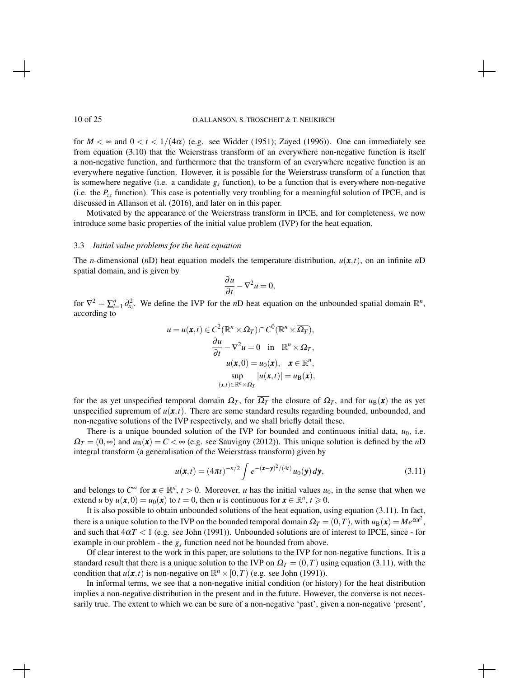for  $M < \infty$  and  $0 < t < 1/(4\alpha)$  (e.g. see Widder (1951); Zayed (1996)). One can immediately see from equation (3.10) that the Weierstrass transform of an everywhere non-negative function is itself a non-negative function, and furthermore that the transform of an everywhere negative function is an everywhere negative function. However, it is possible for the Weierstrass transform of a function that is somewhere negative (i.e. a candidate  $g_s$  function), to be a function that is everywhere non-negative (i.e. the *Pzz* function). This case is potentially very troubling for a meaningful solution of IPCE, and is discussed in Allanson et al. (2016), and later on in this paper.

Motivated by the appearance of the Weierstrass transform in IPCE, and for completeness, we now introduce some basic properties of the initial value problem (IVP) for the heat equation.

#### 3.3 *Initial value problems for the heat equation*

The *n*-dimensional (*n*D) heat equation models the temperature distribution,  $u(x,t)$ , on an infinite *n*D spatial domain, and is given by

$$
\frac{\partial u}{\partial t} - \nabla^2 u = 0,
$$

for  $\nabla^2 = \sum_{i=1}^n \partial_{x_i}^2$ . We define the IVP for the *n*D heat equation on the unbounded spatial domain  $\mathbb{R}^n$ , according to

$$
u = u(\mathbf{x}, t) \in C^2(\mathbb{R}^n \times \Omega_T) \cap C^0(\mathbb{R}^n \times \overline{\Omega_T}),
$$
  
\n
$$
\frac{\partial u}{\partial t} - \nabla^2 u = 0 \text{ in } \mathbb{R}^n \times \Omega_T,
$$
  
\n
$$
u(\mathbf{x}, 0) = u_0(\mathbf{x}), \quad \mathbf{x} \in \mathbb{R}^n,
$$
  
\n
$$
\sup_{(\mathbf{x}, t) \in \mathbb{R}^n \times \Omega_T} |u(\mathbf{x}, t)| = u_\mathbf{B}(\mathbf{x}),
$$

for the as yet unspecified temporal domain  $\Omega_T$ , for  $\overline{\Omega_T}$  the closure of  $\Omega_T$ , and for  $u_B(x)$  the as yet unspecified supremum of  $u(x,t)$ . There are some standard results regarding bounded, unbounded, and non-negative solutions of the IVP respectively, and we shall briefly detail these.

There is a unique bounded solution of the IVP for bounded and continuous initial data,  $u_0$ , i.e.  $\Omega_T = (0, \infty)$  and  $u_B(\mathbf{x}) = C < \infty$  (e.g. see Sauvigny (2012)). This unique solution is defined by the *n*D integral transform (a generalisation of the Weierstrass transform) given by

$$
u(\mathbf{x},t) = (4\pi t)^{-n/2} \int e^{-(\mathbf{x}-\mathbf{y})^2/(4t)} u_0(\mathbf{y}) d\mathbf{y},
$$
 (3.11)

and belongs to  $C^{\infty}$  for  $\mathbf{x} \in \mathbb{R}^n$ ,  $t > 0$ . Moreover, *u* has the initial values  $u_0$ , in the sense that when we extend *u* by  $u(\mathbf{x},0) = u_0(\mathbf{x})$  to  $t = 0$ , then *u* is continuous for  $\mathbf{x} \in \mathbb{R}^n$ ,  $t \ge 0$ .

It is also possible to obtain unbounded solutions of the heat equation, using equation (3.11). In fact, there is a unique solution to the IVP on the bounded temporal domain  $\Omega_T = (0,T)$ , with  $u_B(\mathbf{x}) = Me^{\alpha \mathbf{x}^2}$ , and such that  $4\alpha T < 1$  (e.g. see John (1991)). Unbounded solutions are of interest to IPCE, since - for example in our problem - the *g<sup>s</sup>* function need not be bounded from above.

Of clear interest to the work in this paper, are solutions to the IVP for non-negative functions. It is a standard result that there is a unique solution to the IVP on  $\Omega_T = (0,T)$  using equation (3.11), with the condition that  $u(\mathbf{x}, t)$  is non-negative on  $\mathbb{R}^n \times [0, T)$  (e.g. see John (1991)).

In informal terms, we see that a non-negative initial condition (or history) for the heat distribution implies a non-negative distribution in the present and in the future. However, the converse is not necessarily true. The extent to which we can be sure of a non-negative 'past', given a non-negative 'present',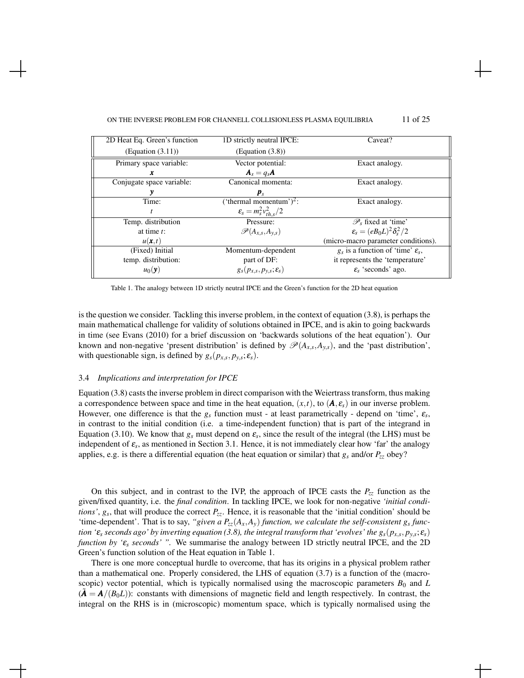#### ON THE INVERSE PROBLEM FOR CHANNELL COLLISIONLESS PLASMA EQUILIBRIA 11 of 25

| 2D Heat Eq. Green's function | 1D strictly neutral IPCE:            | Caveat?                                         |
|------------------------------|--------------------------------------|-------------------------------------------------|
| (Equation (3.11))            | (Equation (3.8))                     |                                                 |
| Primary space variable:      | Vector potential:                    | Exact analogy.                                  |
| x                            | $A_s = q_s A$                        |                                                 |
| Conjugate space variable:    | Canonical momenta:                   | Exact analogy.                                  |
| y                            | $\boldsymbol{p}_s$                   |                                                 |
| Time:                        | ('thermal momentum') <sup>2</sup> :  | Exact analogy.                                  |
| t                            | $\varepsilon_s = m_s^2 v_{ths}^2/2$  |                                                 |
| Temp. distribution           | Pressure:                            | $\mathscr{P}_s$ fixed at 'time'                 |
| at time $t$ :                | $\mathscr{P}(A_{x,s},A_{y,s})$       | $\varepsilon_{s} = (eB_0L)^2 \delta_{s}^2/2$    |
| $u(\mathbf{x},t)$            |                                      | (micro-macro parameter conditions).             |
| (Fixed) Initial              | Momentum-dependent                   | $g_s$ is a function of 'time' $\varepsilon_s$ , |
| temp. distribution:          | part of DF:                          | it represents the 'temperature'                 |
| $u_0(\mathbf{y})$            | $g_s(p_{x,s},p_{y,s};\varepsilon_s)$ | $\epsilon$ 'seconds' ago.                       |
|                              |                                      |                                                 |

Table 1. The analogy between 1D strictly neutral IPCE and the Green's function for the 2D heat equation

is the question we consider. Tackling this inverse problem, in the context of equation (3.8), is perhaps the main mathematical challenge for validity of solutions obtained in IPCE, and is akin to going backwards in time (see Evans (2010) for a brief discussion on 'backwards solutions of the heat equation'). Our known and non-negative 'present distribution' is defined by  $\mathscr{P}(A_{x,s}, A_{y,s})$ , and the 'past distribution', with questionable sign, is defined by  $g_s(p_{x,s}, p_{y,s}; \varepsilon_s)$ .

## 3.4 *Implications and interpretation for IPCE*

Equation (3.8) casts the inverse problem in direct comparison with the Weiertrass transform, thus making a correspondence between space and time in the heat equation,  $(x,t)$ , to  $(A, \varepsilon_s)$  in our inverse problem. However, one difference is that the  $g_s$  function must - at least parametrically - depend on 'time',  $\varepsilon_s$ , in contrast to the initial condition (i.e. a time-independent function) that is part of the integrand in Equation (3.10). We know that  $g_s$  must depend on  $\varepsilon_s$ , since the result of the integral (the LHS) must be independent of  $\varepsilon_s$ , as mentioned in Section 3.1. Hence, it is not immediately clear how 'far' the analogy applies, e.g. is there a differential equation (the heat equation or similar) that *g<sup>s</sup>* and/or *Pzz* obey?

On this subject, and in contrast to the IVP, the approach of IPCE casts the  $P_{zz}$  function as the given/fixed quantity, i.e. the *final condition*. In tackling IPCE, we look for non-negative *'initial conditions'*,  $g_s$ , that will produce the correct  $P_{zz}$ . Hence, it is reasonable that the 'initial condition' should be 'time-dependent'. That is to say, "given a  $P_{zz}(A_x, A_y)$  function, we calculate the self-consistent  $g_s$  func*tion '*ε*<sup>s</sup> seconds ago' by inverting equation (3.8), the integral transform that 'evolves' the gs*(*px*,*<sup>s</sup>* , *py*,*<sup>s</sup>* ; ε*s*) *function by '*ε*<sup>s</sup> seconds' ".* We summarise the analogy between 1D strictly neutral IPCE, and the 2D Green's function solution of the Heat equation in Table 1.

There is one more conceptual hurdle to overcome, that has its origins in a physical problem rather than a mathematical one. Properly considered, the LHS of equation  $(3.7)$  is a function of the (macroscopic) vector potential, which is typically normalised using the macroscopic parameters  $B_0$  and  $L$  $(A = A/(B_0L))$ : constants with dimensions of magnetic field and length respectively. In contrast, the integral on the RHS is in (microscopic) momentum space, which is typically normalised using the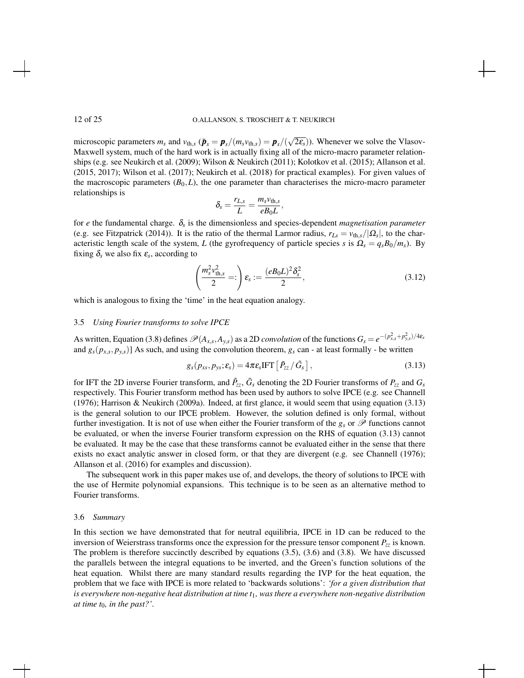microscopic parameters  $m_s$  and  $v_{th,s}$  ( $\tilde{\boldsymbol{p}}_s = \boldsymbol{p}_s/(m_s v_{th,s}) = \boldsymbol{p}_s/(\sqrt{2\epsilon_s})$ ). Whenever we solve the Vlasov-Maxwell system, much of the hard work is in actually fixing all of the micro-macro parameter relationships (e.g. see Neukirch et al. (2009); Wilson & Neukirch (2011); Kolotkov et al. (2015); Allanson et al. (2015, 2017); Wilson et al. (2017); Neukirch et al. (2018) for practical examples). For given values of the macroscopic parameters  $(B_0, L)$ , the one parameter than characterises the micro-macro parameter relationships is

$$
\delta_s = \frac{r_{L,s}}{L} = \frac{m_s v_{\text{th},s}}{e B_0 L},
$$

for *e* the fundamental charge. δ*<sup>s</sup>* is the dimensionless and species-dependent *magnetisation parameter* (e.g. see Fitzpatrick (2014)). It is the ratio of the thermal Larmor radius,  $r_{Ls} = v_{th,s}/|\Omega_s|$ , to the characteristic length scale of the system, *L* (the gyrofrequency of particle species *s* is  $\Omega_s = q_s B_0/m_s$ ). By fixing  $\delta_s$  we also fix  $\varepsilon_s$ , according to

$$
\left(\frac{m_s^2 v_{\text{th},s}^2}{2}\right)\varepsilon_s := \frac{(e B_0 L)^2 \delta_s^2}{2},\tag{3.12}
$$

which is analogous to fixing the 'time' in the heat equation analogy.

### 3.5 *Using Fourier transforms to solve IPCE*

As written, Equation (3.8) defines  $\mathcal{P}(A_{x,s},A_{y,s})$  as a 2D *convolution* of the functions  $G_s = e^{-(p_{x,s}^2 + p_{y,s}^2)/4\epsilon_s}$ and  $g_s(p_{x,s}, p_{y,s})$  As such, and using the convolution theorem,  $g_s$  can - at least formally - be written

$$
g_s(p_{xs}, p_{ys}; \varepsilon_s) = 4\pi \varepsilon_s \text{IFT} \left[ \tilde{P}_{zz} / \tilde{G}_s \right], \qquad (3.13)
$$

for IFT the 2D inverse Fourier transform, and  $\tilde{P}_{zz}$ ,  $\tilde{G}_s$  denoting the 2D Fourier transforms of  $P_{zz}$  and  $G_s$ respectively. This Fourier transform method has been used by authors to solve IPCE (e.g. see Channell (1976); Harrison & Neukirch (2009a). Indeed, at first glance, it would seem that using equation (3.13) is the general solution to our IPCE problem. However, the solution defined is only formal, without further investigation. It is not of use when either the Fourier transform of the  $g_s$  or  $\mathscr P$  functions cannot be evaluated, or when the inverse Fourier transform expression on the RHS of equation (3.13) cannot be evaluated. It may be the case that these transforms cannot be evaluated either in the sense that there exists no exact analytic answer in closed form, or that they are divergent (e.g. see Channell (1976); Allanson et al. (2016) for examples and discussion).

The subsequent work in this paper makes use of, and develops, the theory of solutions to IPCE with the use of Hermite polynomial expansions. This technique is to be seen as an alternative method to Fourier transforms.

## 3.6 *Summary*

In this section we have demonstrated that for neutral equilibria, IPCE in 1D can be reduced to the inversion of Weierstrass transforms once the expression for the pressure tensor component  $P_{zz}$  is known. The problem is therefore succinctly described by equations (3.5), (3.6) and (3.8). We have discussed the parallels between the integral equations to be inverted, and the Green's function solutions of the heat equation. Whilst there are many standard results regarding the IVP for the heat equation, the problem that we face with IPCE is more related to 'backwards solutions': *'for a given distribution that is everywhere non-negative heat distribution at time t*1*, was there a everywhere non-negative distribution at time t*0*, in the past?'*.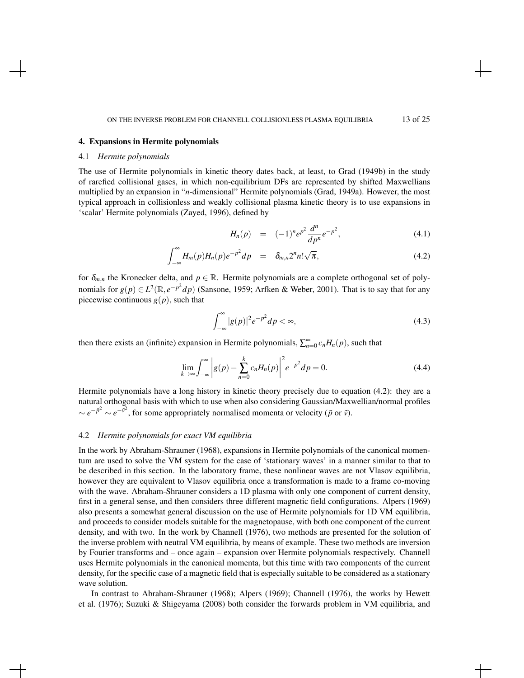### 4. Expansions in Hermite polynomials

### 4.1 *Hermite polynomials*

The use of Hermite polynomials in kinetic theory dates back, at least, to Grad (1949b) in the study of rarefied collisional gases, in which non-equilibrium DFs are represented by shifted Maxwellians multiplied by an expansion in "*n*-dimensional" Hermite polynomials (Grad, 1949a). However, the most typical approach in collisionless and weakly collisional plasma kinetic theory is to use expansions in 'scalar' Hermite polynomials (Zayed, 1996), defined by

$$
H_n(p) = (-1)^n e^{p^2} \frac{d^n}{dp^n} e^{-p^2}, \qquad (4.1)
$$

$$
\int_{-\infty}^{\infty} H_m(p) H_n(p) e^{-p^2} dp = \delta_{m,n} 2^n n! \sqrt{\pi}, \qquad (4.2)
$$

for  $\delta_{m,n}$  the Kronecker delta, and  $p \in \mathbb{R}$ . Hermite polynomials are a complete orthogonal set of polynomials for  $g(p) \in L^2(\mathbb{R}, e^{-p^2}dp)$  (Sansone, 1959; Arfken & Weber, 2001). That is to say that for any piecewise continuous  $g(p)$ , such that

$$
\int_{-\infty}^{\infty} |g(p)|^2 e^{-p^2} dp < \infty,\tag{4.3}
$$

then there exists an (infinite) expansion in Hermite polynomials,  $\sum_{n=0}^{\infty} c_n H_n(p)$ , such that

$$
\lim_{k \to \infty} \int_{-\infty}^{\infty} \left| g(p) - \sum_{n=0}^{k} c_n H_n(p) \right|^2 e^{-p^2} dp = 0.
$$
 (4.4)

Hermite polynomials have a long history in kinetic theory precisely due to equation (4.2): they are a natural orthogonal basis with which to use when also considering Gaussian/Maxwellian/normal profiles ∼  $e^{-\tilde{p}^2} \sim e^{-\tilde{v}^2}$ , for some appropriately normalised momenta or velocity ( $\tilde{p}$  or  $\tilde{v}$ ).

### 4.2 *Hermite polynomials for exact VM equilibria*

In the work by Abraham-Shrauner (1968), expansions in Hermite polynomials of the canonical momentum are used to solve the VM system for the case of 'stationary waves' in a manner similar to that to be described in this section. In the laboratory frame, these nonlinear waves are not Vlasov equilibria, however they are equivalent to Vlasov equilibria once a transformation is made to a frame co-moving with the wave. Abraham-Shrauner considers a 1D plasma with only one component of current density, first in a general sense, and then considers three different magnetic field configurations. Alpers (1969) also presents a somewhat general discussion on the use of Hermite polynomials for 1D VM equilibria, and proceeds to consider models suitable for the magnetopause, with both one component of the current density, and with two. In the work by Channell (1976), two methods are presented for the solution of the inverse problem with neutral VM equilibria, by means of example. These two methods are inversion by Fourier transforms and – once again – expansion over Hermite polynomials respectively. Channell uses Hermite polynomials in the canonical momenta, but this time with two components of the current density, for the specific case of a magnetic field that is especially suitable to be considered as a stationary wave solution.

In contrast to Abraham-Shrauner (1968); Alpers (1969); Channell (1976), the works by Hewett et al. (1976); Suzuki & Shigeyama (2008) both consider the forwards problem in VM equilibria, and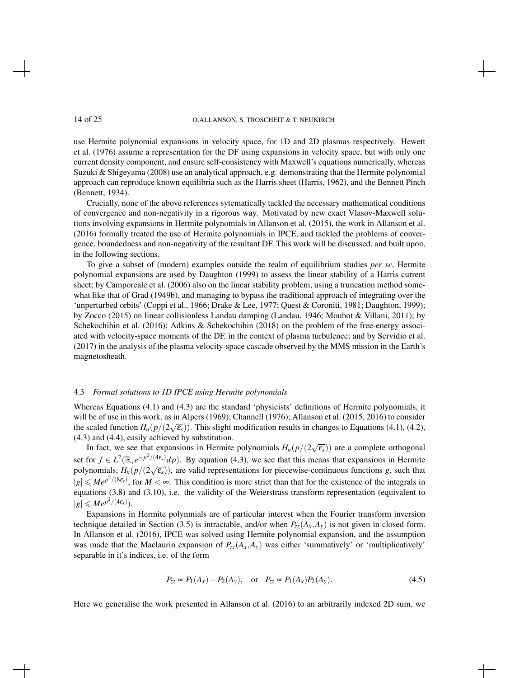use Hermite polynomial expansions in velocity space, for 1D and 2D plasmas respectively. Hewett et al. (1976) assume a representation for the DF using expansions in velocity space, but with only one current density component, and ensure self-consistency with Maxwell's equations numerically, whereas Suzuki & Shigeyama (2008) use an analytical approach, e.g. demonstrating that the Hermite polynomial approach can reproduce known equilibria such as the Harris sheet (Harris, 1962), and the Bennett Pinch (Bennett, 1934).

Crucially, none of the above references sytematically tackled the necessary mathematical conditions of convergence and non-negativity in a rigorous way. Motivated by new exact Vlasov-Maxwell solutions involving expansions in Hermite polynomials in Allanson et al. (2015), the work in Allanson et al. (2016) formally treated the use of Hermite polynomials in IPCE, and tackled the problems of convergence, boundedness and non-negativity of the resultant DF. This work will be discussed, and built upon, in the following sections.

To give a subset of (modern) examples outside the realm of equilibrium studies *per se*, Hermite polynomial expansions are used by Daughton (1999) to assess the linear stability of a Harris current sheet; by Camporeale et al. (2006) also on the linear stability problem, using a truncation method somewhat like that of Grad (1949b), and managing to bypass the traditional approach of integrating over the 'unperturbed orbits' (Coppi et al., 1966; Drake & Lee, 1977; Quest & Coroniti, 1981; Daughton, 1999); by Zocco (2015) on linear collisionless Landau damping (Landau, 1946; Mouhot & Villani, 2011); by Schekochihin et al. (2016); Adkins & Schekochihin (2018) on the problem of the free-energy associated with velocity-space moments of the DF, in the context of plasma turbulence; and by Servidio et al. (2017) in the analysis of the plasma velocity-space cascade observed by the MMS mission in the Earth's magnetosheath.

### 4.3 *Formal solutions to 1D IPCE using Hermite polynomials*

Whereas Equations (4.1) and (4.3) are the standard 'physicists' definitions of Hermite polynomials, it will be of use in this work, as in Alpers (1969); Channell (1976); Allanson et al. (2015, 2016) to consider the consider the scaled function  $H_n(p/(2\sqrt{\epsilon_s}))$ . This slight modification results in changes to Equations (4.1), (4.2), (4.3) and (4.4), easily achieved by substitution.

In fact, we see that expansions in Hermite polynomials  $H_n(p/(2\sqrt{\epsilon_s}))$  are a complete orthogonal set for  $f \in L^2(\mathbb{R}, e^{-p^2/(4\varepsilon_s)}dp)$ . By equation (4.3), we see that this means that expansions in Hermite polynomials,  $H_n(p/(2\sqrt{\epsilon_s}))$ , are valid representations for piecewise-continuous functions *g*, such that  $|g| \le Me^{p^2/(8\varepsilon_s)}$ , for  $M < \infty$ . This condition is more strict than that for the existence of the integrals in equations (3.8) and (3.10), i.e. the validity of the Weierstrass transform representation (equivalent to  $|g| \leqslant Me^{p^2/(4\varepsilon_s)}$ ).

Expansions in Hermite polynmials are of particular interest when the Fourier transform inversion technique detailed in Section (3.5) is intractable, and/or when  $P_{zz}(A_x, A_y)$  is not given in closed form. In Allanson et al. (2016), IPCE was solved using Hermite polynomial expansion, and the assumption was made that the Maclaurin expansion of  $P_{zz}(A_x, A_y)$  was either 'summatively' or 'multiplicatively' separable in it's indices, i.e. of the form

$$
P_{zz} \propto P_1(A_x) + P_2(A_y),
$$
 or  $P_{zz} \propto P_1(A_x)P_2(A_y).$  (4.5)

Here we generalise the work presented in Allanson et al. (2016) to an arbitrarily indexed 2D sum, we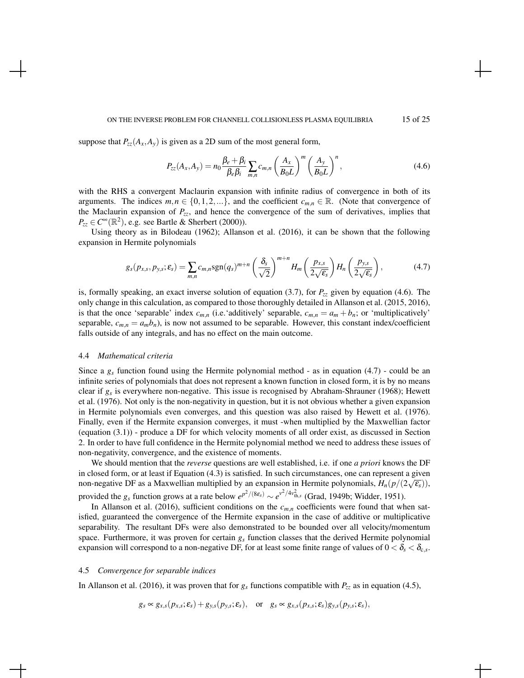#### ON THE INVERSE PROBLEM FOR CHANNELL COLLISIONLESS PLASMA EQUILIBRIA 15 of 25

suppose that  $P_{zz}(A_x, A_y)$  is given as a 2D sum of the most general form,

$$
P_{zz}(A_x, A_y) = n_0 \frac{\beta_e + \beta_i}{\beta_e \beta_i} \sum_{m,n} c_{m,n} \left(\frac{A_x}{B_0 L}\right)^m \left(\frac{A_y}{B_0 L}\right)^n, \tag{4.6}
$$

with the RHS a convergent Maclaurin expansion with infinite radius of convergence in both of its arguments. The indices  $m, n \in \{0, 1, 2, ...\}$ , and the coefficient  $c_{m,n} \in \mathbb{R}$ . (Note that convergence of the Maclaurin expansion of *Pzz*, and hence the convergence of the sum of derivatives, implies that  $P_{zz} \in C^{\infty}(\mathbb{R}^2)$ , e.g. see Bartle & Sherbert (2000)).

Using theory as in Bilodeau (1962); Allanson et al. (2016), it can be shown that the following expansion in Hermite polynomials

$$
g_s(p_{x,s}, p_{y,s}; \varepsilon_s) = \sum_{m,n} c_{m,n} \operatorname{sgn}(q_s)^{m+n} \left(\frac{\delta_s}{\sqrt{2}}\right)^{m+n} H_m\left(\frac{p_{x,s}}{2\sqrt{\varepsilon_s}}\right) H_n\left(\frac{p_{y,s}}{2\sqrt{\varepsilon_s}}\right),\tag{4.7}
$$

is, formally speaking, an exact inverse solution of equation  $(3.7)$ , for  $P_{zz}$  given by equation  $(4.6)$ . The only change in this calculation, as compared to those thoroughly detailed in Allanson et al. (2015, 2016), is that the once 'separable' index  $c_{m,n}$  (i.e.'additively' separable,  $c_{m,n} = a_m + b_n$ ; or 'multiplicatively' separable,  $c_{m,n} = a_m b_n$ , is now not assumed to be separable. However, this constant index/coefficient falls outside of any integrals, and has no effect on the main outcome.

## 4.4 *Mathematical criteria*

Since a  $g_s$  function found using the Hermite polynomial method - as in equation (4.7) - could be an infinite series of polynomials that does not represent a known function in closed form, it is by no means clear if *g<sup>s</sup>* is everywhere non-negative. This issue is recognised by Abraham-Shrauner (1968); Hewett et al. (1976). Not only is the non-negativity in question, but it is not obvious whether a given expansion in Hermite polynomials even converges, and this question was also raised by Hewett et al. (1976). Finally, even if the Hermite expansion converges, it must -when multiplied by the Maxwellian factor (equation (3.1)) - produce a DF for which velocity moments of all order exist, as discussed in Section 2. In order to have full confidence in the Hermite polynomial method we need to address these issues of non-negativity, convergence, and the existence of moments.

We should mention that the *reverse* questions are well established, i.e. if one *a priori* knows the DF in closed form, or at least if Equation (4.3) is satisfied. In such circumstances, one can represent a given non-negative DF as a Maxwellian multiplied by an expansion in Hermite polynomials,  $H_n(p/(2\sqrt{\epsilon_s})),$ provided the  $g_s$  function grows at a rate below  $e^{p^2/(8\varepsilon_s)} \sim e^{v^2/4v_{\text{th},s}^2}$  (Grad, 1949b; Widder, 1951).

In Allanson et al. (2016), sufficient conditions on the  $c_{m,n}$  coefficients were found that when satisfied, guaranteed the convergence of the Hermite expansion in the case of additive or multiplicative separability. The resultant DFs were also demonstrated to be bounded over all velocity/momentum space. Furthermore, it was proven for certain *g<sup>s</sup>* function classes that the derived Hermite polynomial expansion will correspond to a non-negative DF, for at least some finite range of values of  $0<\delta_s<\delta_{c,s}.$ 

#### 4.5 *Convergence for separable indices*

In Allanson et al. (2016), it was proven that for  $g_s$  functions compatible with  $P_{zz}$  as in equation (4.5),

$$
g_s \propto g_{x,s}(p_{x,s}; \varepsilon_s) + g_{y,s}(p_{y,s}; \varepsilon_s), \quad \text{or} \quad g_s \propto g_{x,s}(p_{x,s}; \varepsilon_s)g_{y,s}(p_{y,s}; \varepsilon_s),
$$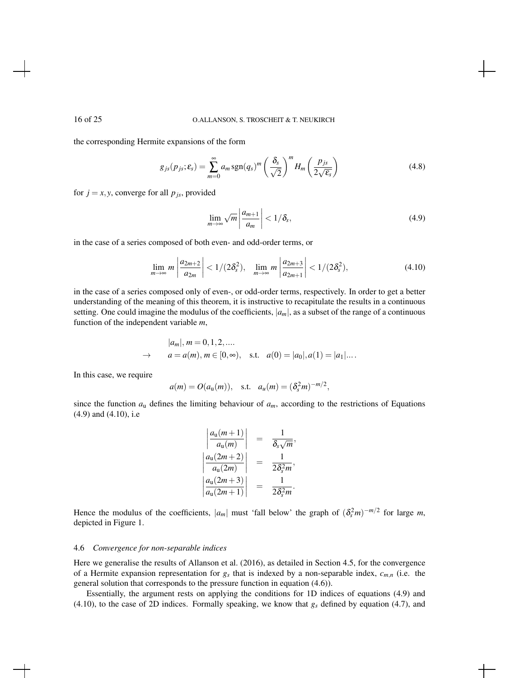the corresponding Hermite expansions of the form

$$
g_{js}(p_{js}; \varepsilon_s) = \sum_{m=0}^{\infty} a_m \operatorname{sgn}(q_s)^m \left(\frac{\delta_s}{\sqrt{2}}\right)^m H_m\left(\frac{p_{js}}{2\sqrt{\varepsilon_s}}\right)
$$
(4.8)

for  $j = x, y$ , converge for all  $p_{js}$ , provided

$$
\lim_{m \to \infty} \sqrt{m} \left| \frac{a_{m+1}}{a_m} \right| < 1/\delta_s,\tag{4.9}
$$

in the case of a series composed of both even- and odd-order terms, or

$$
\lim_{m \to \infty} m \left| \frac{a_{2m+2}}{a_{2m}} \right| < 1/(2\delta_s^2), \quad \lim_{m \to \infty} m \left| \frac{a_{2m+3}}{a_{2m+1}} \right| < 1/(2\delta_s^2), \tag{4.10}
$$

in the case of a series composed only of even-, or odd-order terms, respectively. In order to get a better understanding of the meaning of this theorem, it is instructive to recapitulate the results in a continuous setting. One could imagine the modulus of the coefficients,  $|a_m|$ , as a subset of the range of a continuous function of the independent variable *m*,

$$
|a_m|, m = 0, 1, 2, ...
$$
  
\n $\rightarrow$   $a = a(m), m \in [0, \infty), \text{ s.t. } a(0) = |a_0|, a(1) = |a_1|...$ 

In this case, we require

$$
a(m) = O(a_{\rm u}(m)),
$$
 s.t.  $a_{\rm u}(m) = (\delta_s^2 m)^{-m/2},$ 

since the function  $a<sub>u</sub>$  defines the limiting behaviour of  $a<sub>m</sub>$ , according to the restrictions of Equations (4.9) and (4.10), i.e

$$
\left|\frac{a_{\mathsf{u}}(m+1)}{a_{\mathsf{u}}(m)}\right| = \frac{1}{\delta_s\sqrt{m}},
$$
  

$$
\left|\frac{a_{\mathsf{u}}(2m+2)}{a_{\mathsf{u}}(2m)}\right| = \frac{1}{2\delta_s^2 m},
$$
  

$$
\left|\frac{a_{\mathsf{u}}(2m+3)}{a_{\mathsf{u}}(2m+1)}\right| = \frac{1}{2\delta_s^2 m}.
$$

Hence the modulus of the coefficients,  $|a_m|$  must 'fall below' the graph of  $(\delta_s^2 m)^{-m/2}$  for large *m*, depicted in Figure 1.

### 4.6 *Convergence for non-separable indices*

Here we generalise the results of Allanson et al. (2016), as detailed in Section 4.5, for the convergence of a Hermite expansion representation for  $g_s$  that is indexed by a non-separable index,  $c_{m,n}$  (i.e. the general solution that corresponds to the pressure function in equation (4.6)).

Essentially, the argument rests on applying the conditions for 1D indices of equations (4.9) and (4.10), to the case of 2D indices. Formally speaking, we know that  $g_s$  defined by equation (4.7), and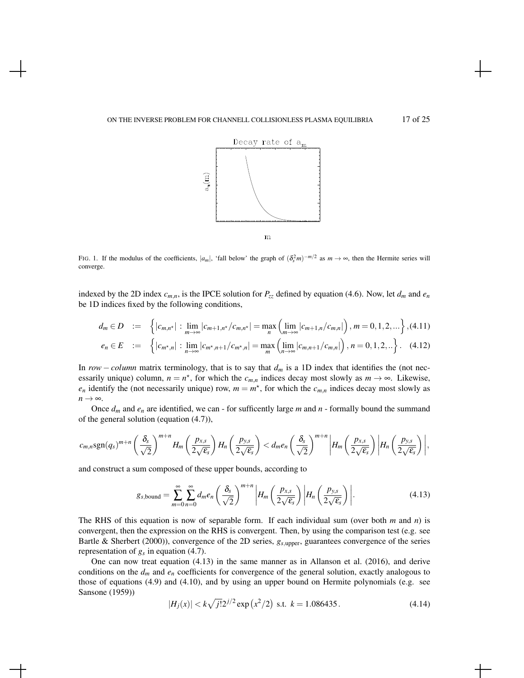

FIG. 1. If the modulus of the coefficients,  $|a_m|$ , 'fall below' the graph of  $(\delta_s^2 m)^{-m/2}$  as  $m \to \infty$ , then the Hermite series will converge.

indexed by the 2D index  $c_{m,n}$ , is the IPCE solution for  $P_{zz}$  defined by equation (4.6). Now, let  $d_m$  and  $e_n$ be 1D indices fixed by the following conditions,

$$
d_m \in D := \left\{ |c_{m,n^*}| : \lim_{m \to \infty} |c_{m+1,n^*}/c_{m,n^*}| = \max_n \left( \lim_{m \to \infty} |c_{m+1,n}/c_{m,n}| \right), m = 0, 1, 2, ...\right\}, (4.11)
$$
  

$$
e_n \in E := \left\{ |c_{m^*,n}| : \lim_{n \to \infty} |c_{m^*,n+1}/c_{m^*,n}| = \max_m \left( \lim_{n \to \infty} |c_{m,n+1}/c_{m,n}| \right), n = 0, 1, 2, ...\right\}. (4.12)
$$

In *row – column* matrix terminology, that is to say that  $d_m$  is a 1D index that identifies the (not necessarily unique) column,  $n = n^*$ , for which the  $c_{m,n}$  indices decay most slowly as  $m \to \infty$ . Likewise,  $e_n$  identify the (not necessarily unique) row,  $m = m^*$ , for which the  $c_{m,n}$  indices decay most slowly as  $n \rightarrow \infty$ .

Once  $d_m$  and  $e_n$  are identified, we can - for sufficently large  $m$  and  $n$  - formally bound the summand of the general solution (equation (4.7)),

$$
c_{m,n}\operatorname{sgn}(q_s)^{m+n}\left(\frac{\delta_s}{\sqrt{2}}\right)^{m+n}H_m\left(\frac{p_{x,s}}{2\sqrt{\varepsilon_s}}\right)H_n\left(\frac{p_{y,s}}{2\sqrt{\varepsilon_s}}\right)< d_me_n\left(\frac{\delta_s}{\sqrt{2}}\right)^{m+n}\bigg|H_m\left(\frac{p_{x,s}}{2\sqrt{\varepsilon_s}}\right)\bigg|H_n\left(\frac{p_{y,s}}{2\sqrt{\varepsilon_s}}\right)\bigg|,
$$

and construct a sum composed of these upper bounds, according to

$$
g_{s,\text{bound}} = \sum_{m=0}^{\infty} \sum_{n=0}^{\infty} d_m e_n \left(\frac{\delta_s}{\sqrt{2}}\right)^{m+n} \left| H_m\left(\frac{p_{x,s}}{2\sqrt{\epsilon_s}}\right) \left| H_n\left(\frac{p_{y,s}}{2\sqrt{\epsilon_s}}\right) \right| \right]. \tag{4.13}
$$

The RHS of this equation is now of separable form. If each individual sum (over both *m* and *n*) is convergent, then the expression on the RHS is convergent. Then, by using the comparison test (e.g. see Bartle & Sherbert (2000)), convergence of the 2D series, *gs*,upper, guarantees convergence of the series representation of  $g_s$  in equation (4.7).

One can now treat equation (4.13) in the same manner as in Allanson et al. (2016), and derive conditions on the  $d_m$  and  $e_n$  coefficients for convergence of the general solution, exactly analogous to those of equations (4.9) and (4.10), and by using an upper bound on Hermite polynomials (e.g. see Sansone (1959))

$$
|H_j(x)| < k\sqrt{j!}2^{j/2} \exp\left(\frac{x^2}{2}\right) \text{ s.t. } k = 1.086435. \tag{4.14}
$$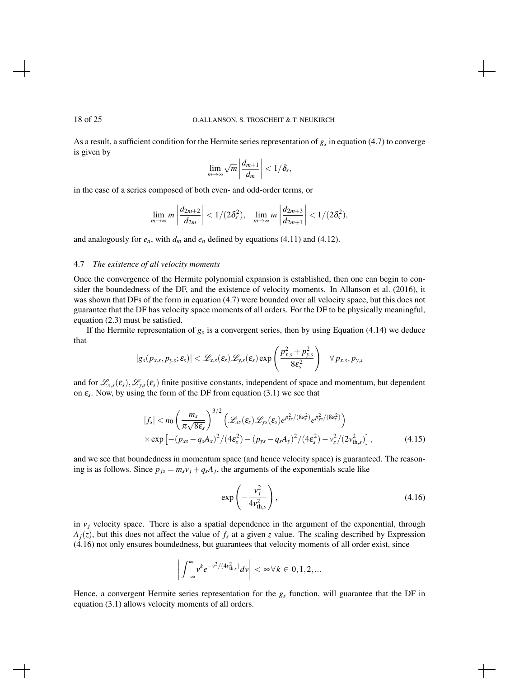As a result, a sufficient condition for the Hermite series representation of *g<sup>s</sup>* in equation (4.7) to converge is given by

$$
\lim_{m\to\infty}\sqrt{m}\left|\frac{d_{m+1}}{d_m}\right|<1/\delta_s,
$$

in the case of a series composed of both even- and odd-order terms, or

$$
\lim_{m\to\infty} m\left|\frac{d_{2m+2}}{d_{2m}}\right|<1/(2\delta_s^2), \quad \lim_{m\to\infty} m\left|\frac{d_{2m+3}}{d_{2m+1}}\right|<1/(2\delta_s^2),
$$

and analogously for  $e_n$ , with  $d_m$  and  $e_n$  defined by equations (4.11) and (4.12).

## 4.7 *The existence of all velocity moments*

Once the convergence of the Hermite polynomial expansion is established, then one can begin to consider the boundedness of the DF, and the existence of velocity moments. In Allanson et al. (2016), it was shown that DFs of the form in equation (4.7) were bounded over all velocity space, but this does not guarantee that the DF has velocity space moments of all orders. For the DF to be physically meaningful, equation (2.3) must be satisfied.

If the Hermite representation of  $g_s$  is a convergent series, then by using Equation (4.14) we deduce that

$$
|g_s(p_{x,s}, p_{y,s}; \varepsilon_s)| < \mathscr{L}_{x,s}(\varepsilon_s) \mathscr{L}_{y,s}(\varepsilon_s) \exp\left(\frac{p_{x,s}^2 + p_{y,s}^2}{8\varepsilon_s^2}\right) \quad \forall p_{x,s}, p_{y,s}
$$

and for  $\mathcal{L}_{x,s}(\varepsilon_s)$ ,  $\mathcal{L}_{y,s}(\varepsilon_s)$  finite positive constants, independent of space and momentum, but dependent on  $\varepsilon$ <sub>s</sub>. Now, by using the form of the DF from equation (3.1) we see that

$$
|f_s| < n_0 \left(\frac{m_s}{\pi \sqrt{8\varepsilon_s}}\right)^{3/2} \left(\mathcal{L}_{xs}(\varepsilon_s) \mathcal{L}_{ys}(\varepsilon_s) e^{p_{xs}^2/(8\varepsilon_s^2)} e^{p_{ys}^2/(8\varepsilon_s^2)}\right) \times \exp\left[-(p_{xs} - q_s A_x)^2 / (4\varepsilon_s^2) - (p_{ys} - q_s A_y)^2 / (4\varepsilon_s^2) - v_z^2 / (2v_{\text{th},s}^2)\right],
$$
\n(4.15)

and we see that boundedness in momentum space (and hence velocity space) is guaranteed. The reasoning is as follows. Since  $p_{js} = m_s v_j + q_s A_j$ , the arguments of the exponentials scale like

$$
\exp\left(-\frac{v_j^2}{4v_{\text{th},s}^2}\right),\tag{4.16}
$$

in  $v_j$  velocity space. There is also a spatial dependence in the argument of the exponential, through  $A_j(z)$ , but this does not affect the value of  $f_s$  at a given *z* value. The scaling described by Expression (4.16) not only ensures boundedness, but guarantees that velocity moments of all order exist, since

$$
\bigg|\int_{-\infty}^{\infty} v^k e^{-v^2/(4v_{\text{th},s}^2)} dv\bigg| < \infty \forall k \in [0,1,2,\dots]
$$

Hence, a convergent Hermite series representation for the  $g_s$  function, will guarantee that the DF in equation (3.1) allows velocity moments of all orders.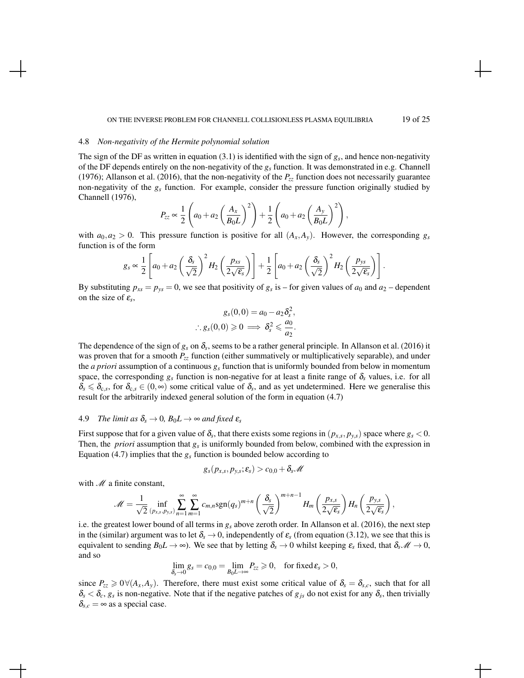#### ON THE INVERSE PROBLEM FOR CHANNELL COLLISIONLESS PLASMA EQUILIBRIA 19 of 25

#### 4.8 *Non-negativity of the Hermite polynomial solution*

The sign of the DF as written in equation (3.1) is identified with the sign of *g<sup>s</sup>* , and hence non-negativity of the DF depends entirely on the non-negativity of the *g<sup>s</sup>* function. It was demonstrated in e.g. Channell (1976); Allanson et al. (2016), that the non-negativity of the  $P_{zz}$  function does not necessarily guarantee non-negativity of the *g<sup>s</sup>* function. For example, consider the pressure function originally studied by Channell (1976),

$$
P_{zz} \propto \frac{1}{2} \left( a_0 + a_2 \left( \frac{A_x}{B_0 L} \right)^2 \right) + \frac{1}{2} \left( a_0 + a_2 \left( \frac{A_y}{B_0 L} \right)^2 \right),
$$

with  $a_0, a_2 > 0$ . This pressure function is positive for all  $(A_x, A_y)$ . However, the corresponding  $g_s$ function is of the form

$$
g_s \propto \frac{1}{2} \left[ a_0 + a_2 \left( \frac{\delta_s}{\sqrt{2}} \right)^2 H_2 \left( \frac{p_{xs}}{2\sqrt{\epsilon_s}} \right) \right] + \frac{1}{2} \left[ a_0 + a_2 \left( \frac{\delta_s}{\sqrt{2}} \right)^2 H_2 \left( \frac{p_{ys}}{2\sqrt{\epsilon_s}} \right) \right].
$$

By substituting  $p_{xs} = p_{ys} = 0$ , we see that positivity of  $g_s$  is – for given values of  $a_0$  and  $a_2$  – dependent on the size of  $\varepsilon_s$ ,

$$
g_s(0,0) = a_0 - a_2 \delta_s^2,
$$
  

$$
\therefore g_s(0,0) \ge 0 \implies \delta_s^2 \le \frac{a_0}{a_2}.
$$

The dependence of the sign of  $g_s$  on  $\delta_s$ , seems to be a rather general principle. In Allanson et al. (2016) it was proven that for a smooth *Pzz* function (either summatively or multiplicatively separable), and under the *a priori* assumption of a continuous *g<sup>s</sup>* function that is uniformly bounded from below in momentum space, the corresponding  $g_s$  function is non-negative for at least a finite range of  $\delta_s$  values, i.e. for all  $\delta_s \leq \delta_{c,s}$ , for  $\delta_{c,s} \in (0,\infty)$  some critical value of  $\delta_s$ , and as yet undetermined. Here we generalise this result for the arbitrarily indexed general solution of the form in equation (4.7)

# 4.9 *The limit as*  $\delta_s \rightarrow 0$ ,  $B_0L \rightarrow \infty$  *and fixed*  $\varepsilon_s$

First suppose that for a given value of  $\delta_s$ , that there exists some regions in  $(p_{x,s}, p_{y,s})$  space where  $g_s < 0$ . Then, the *priori* assumption that *g<sup>s</sup>* is uniformly bounded from below, combined with the expression in Equation (4.7) implies that the  $g_s$  function is bounded below according to

$$
g_s(p_{x,s},p_{y,s};\boldsymbol{\varepsilon_{s}})>c_{0,0}+\delta_s \mathscr{M}
$$

with  $M$  a finite constant,

$$
\mathscr{M} = \frac{1}{\sqrt{2}} \inf_{(p_{x,s},p_{y,s})} \sum_{n=1}^{\infty} \sum_{m=1}^{\infty} c_{m,n} \text{sgn}(q_s)^{m+n} \left(\frac{\delta_s}{\sqrt{2}}\right)^{m+n-1} H_m\left(\frac{p_{x,s}}{2\sqrt{\epsilon_s}}\right) H_n\left(\frac{p_{y,s}}{2\sqrt{\epsilon_s}}\right),
$$

i.e. the greatest lower bound of all terms in *g<sup>s</sup>* above zeroth order. In Allanson et al. (2016), the next step in the (similar) argument was to let  $\delta_s \to 0$ , independently of  $\varepsilon_s$  (from equation (3.12), we see that this is equivalent to sending  $B_0L \to \infty$ ). We see that by letting  $\delta_s \to 0$  whilst keeping  $\varepsilon_s$  fixed, that  $\delta_s \mathscr{M} \to 0$ , and so

$$
\lim_{\delta_s \to 0} g_s = c_{0,0} = \lim_{B_0 L \to \infty} P_{zz} \geq 0, \quad \text{for fixed } \varepsilon_s > 0,
$$

since  $P_{zz} \ge 0 \forall (A_x, A_y)$ . Therefore, there must exist some critical value of  $\delta_s = \delta_{s,c}$ , such that for all  $\delta_s < \delta_c$ ,  $g_s$  is non-negative. Note that if the negative patches of  $g_{js}$  do not exist for any  $\delta_s$ , then trivially  $\delta_{s,c} = \infty$  as a special case.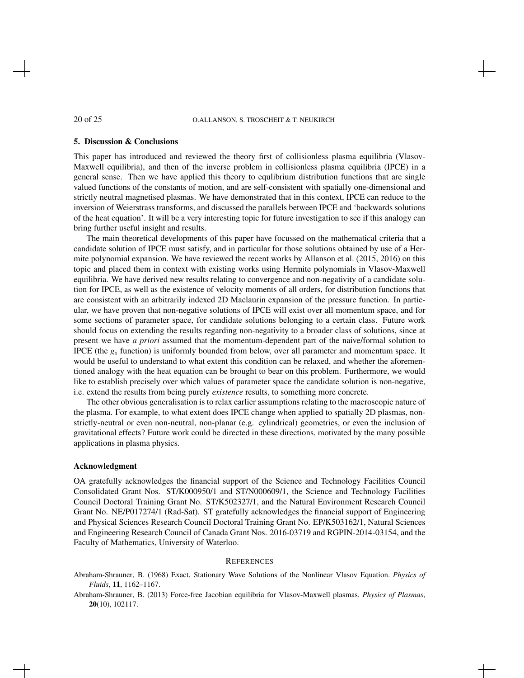### 5. Discussion & Conclusions

This paper has introduced and reviewed the theory first of collisionless plasma equilibria (Vlasov-Maxwell equilibria), and then of the inverse problem in collisionless plasma equilibria (IPCE) in a general sense. Then we have applied this theory to equlibrium distribution functions that are single valued functions of the constants of motion, and are self-consistent with spatially one-dimensional and strictly neutral magnetised plasmas. We have demonstrated that in this context, IPCE can reduce to the inversion of Weierstrass transforms, and discussed the parallels between IPCE and 'backwards solutions of the heat equation'. It will be a very interesting topic for future investigation to see if this analogy can bring further useful insight and results.

The main theoretical developments of this paper have focussed on the mathematical criteria that a candidate solution of IPCE must satisfy, and in particular for those solutions obtained by use of a Hermite polynomial expansion. We have reviewed the recent works by Allanson et al. (2015, 2016) on this topic and placed them in context with existing works using Hermite polynomials in Vlasov-Maxwell equilibria. We have derived new results relating to convergence and non-negativity of a candidate solution for IPCE, as well as the existence of velocity moments of all orders, for distribution functions that are consistent with an arbitrarily indexed 2D Maclaurin expansion of the pressure function. In particular, we have proven that non-negative solutions of IPCE will exist over all momentum space, and for some sections of parameter space, for candidate solutions belonging to a certain class. Future work should focus on extending the results regarding non-negativity to a broader class of solutions, since at present we have *a priori* assumed that the momentum-dependent part of the naive/formal solution to IPCE (the  $g_s$  function) is uniformly bounded from below, over all parameter and momentum space. It would be useful to understand to what extent this condition can be relaxed, and whether the aforementioned analogy with the heat equation can be brought to bear on this problem. Furthermore, we would like to establish precisely over which values of parameter space the candidate solution is non-negative, i.e. extend the results from being purely *existence* results, to something more concrete.

The other obvious generalisation is to relax earlier assumptions relating to the macroscopic nature of the plasma. For example, to what extent does IPCE change when applied to spatially 2D plasmas, nonstrictly-neutral or even non-neutral, non-planar (e.g. cylindrical) geometries, or even the inclusion of gravitational effects? Future work could be directed in these directions, motivated by the many possible applications in plasma physics.

## Acknowledgment

OA gratefully acknowledges the financial support of the Science and Technology Facilities Council Consolidated Grant Nos. ST/K000950/1 and ST/N000609/1, the Science and Technology Facilities Council Doctoral Training Grant No. ST/K502327/1, and the Natural Environment Research Council Grant No. NE/P017274/1 (Rad-Sat). ST gratefully acknowledges the financial support of Engineering and Physical Sciences Research Council Doctoral Training Grant No. EP/K503162/1, Natural Sciences and Engineering Research Council of Canada Grant Nos. 2016-03719 and RGPIN-2014-03154, and the Faculty of Mathematics, University of Waterloo.

## **REFERENCES**

Abraham-Shrauner, B. (1968) Exact, Stationary Wave Solutions of the Nonlinear Vlasov Equation. *Physics of Fluids*, 11, 1162–1167.

Abraham-Shrauner, B. (2013) Force-free Jacobian equilibria for Vlasov-Maxwell plasmas. *Physics of Plasmas*, 20(10), 102117.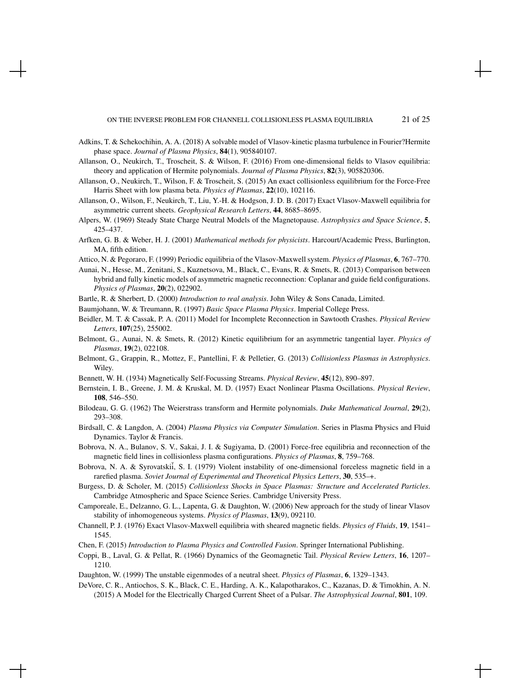- Adkins, T. & Schekochihin, A. A. (2018) A solvable model of Vlasov-kinetic plasma turbulence in Fourier?Hermite phase space. *Journal of Plasma Physics*, 84(1), 905840107.
- Allanson, O., Neukirch, T., Troscheit, S. & Wilson, F. (2016) From one-dimensional fields to Vlasov equilibria: theory and application of Hermite polynomials. *Journal of Plasma Physics*, 82(3), 905820306.
- Allanson, O., Neukirch, T., Wilson, F. & Troscheit, S. (2015) An exact collisionless equilibrium for the Force-Free Harris Sheet with low plasma beta. *Physics of Plasmas*, 22(10), 102116.
- Allanson, O., Wilson, F., Neukirch, T., Liu, Y.-H. & Hodgson, J. D. B. (2017) Exact Vlasov-Maxwell equilibria for asymmetric current sheets. *Geophysical Research Letters*, 44, 8685–8695.
- Alpers, W. (1969) Steady State Charge Neutral Models of the Magnetopause. *Astrophysics and Space Science*, 5, 425–437.
- Arfken, G. B. & Weber, H. J. (2001) *Mathematical methods for physicists*. Harcourt/Academic Press, Burlington, MA, fifth edition.
- Attico, N. & Pegoraro, F. (1999) Periodic equilibria of the Vlasov-Maxwell system. *Physics of Plasmas*, 6, 767–770.
- Aunai, N., Hesse, M., Zenitani, S., Kuznetsova, M., Black, C., Evans, R. & Smets, R. (2013) Comparison between hybrid and fully kinetic models of asymmetric magnetic reconnection: Coplanar and guide field configurations. *Physics of Plasmas*, 20(2), 022902.

Bartle, R. & Sherbert, D. (2000) *Introduction to real analysis*. John Wiley & Sons Canada, Limited.

- Baumjohann, W. & Treumann, R. (1997) *Basic Space Plasma Physics*. Imperial College Press.
- Beidler, M. T. & Cassak, P. A. (2011) Model for Incomplete Reconnection in Sawtooth Crashes. *Physical Review Letters*, 107(25), 255002.
- Belmont, G., Aunai, N. & Smets, R. (2012) Kinetic equilibrium for an asymmetric tangential layer. *Physics of Plasmas*, 19(2), 022108.
- Belmont, G., Grappin, R., Mottez, F., Pantellini, F. & Pelletier, G. (2013) *Collisionless Plasmas in Astrophysics*. Wiley.
- Bennett, W. H. (1934) Magnetically Self-Focussing Streams. *Physical Review*, 45(12), 890–897.
- Bernstein, I. B., Greene, J. M. & Kruskal, M. D. (1957) Exact Nonlinear Plasma Oscillations. *Physical Review*, 108, 546–550.
- Bilodeau, G. G. (1962) The Weierstrass transform and Hermite polynomials. *Duke Mathematical Journal*, 29(2), 293–308.
- Birdsall, C. & Langdon, A. (2004) *Plasma Physics via Computer Simulation*. Series in Plasma Physics and Fluid Dynamics. Taylor & Francis.
- Bobrova, N. A., Bulanov, S. V., Sakai, J. I. & Sugiyama, D. (2001) Force-free equilibria and reconnection of the magnetic field lines in collisionless plasma configurations. *Physics of Plasmas*, 8, 759–768.
- Bobrova, N. A. & Syrovatskii, S. I. (1979) Violent instability of one-dimensional forceless magnetic field in a rarefied plasma. *Soviet Journal of Experimental and Theoretical Physics Letters*, 30, 535–+.
- Burgess, D. & Scholer, M. (2015) *Collisionless Shocks in Space Plasmas: Structure and Accelerated Particles*. Cambridge Atmospheric and Space Science Series. Cambridge University Press.
- Camporeale, E., Delzanno, G. L., Lapenta, G. & Daughton, W. (2006) New approach for the study of linear Vlasov stability of inhomogeneous systems. *Physics of Plasmas*, 13(9), 092110.
- Channell, P. J. (1976) Exact Vlasov-Maxwell equilibria with sheared magnetic fields. *Physics of Fluids*, 19, 1541– 1545.
- Chen, F. (2015) *Introduction to Plasma Physics and Controlled Fusion*. Springer International Publishing.
- Coppi, B., Laval, G. & Pellat, R. (1966) Dynamics of the Geomagnetic Tail. *Physical Review Letters*, 16, 1207– 1210.
- Daughton, W. (1999) The unstable eigenmodes of a neutral sheet. *Physics of Plasmas*, 6, 1329–1343.
- DeVore, C. R., Antiochos, S. K., Black, C. E., Harding, A. K., Kalapotharakos, C., Kazanas, D. & Timokhin, A. N. (2015) A Model for the Electrically Charged Current Sheet of a Pulsar. *The Astrophysical Journal*, 801, 109.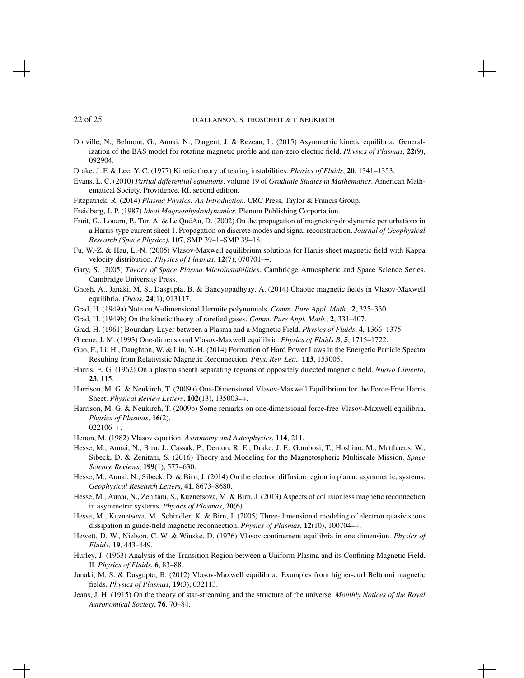- Dorville, N., Belmont, G., Aunai, N., Dargent, J. & Rezeau, L. (2015) Asymmetric kinetic equilibria: Generalization of the BAS model for rotating magnetic profile and non-zero electric field. *Physics of Plasmas*, 22(9), 092904.
- Drake, J. F. & Lee, Y. C. (1977) Kinetic theory of tearing instabilities. *Physics of Fluids*, 20, 1341–1353.
- Evans, L. C. (2010) *Partial differential equations*, volume 19 of *Graduate Studies in Mathematics*. American Mathematical Society, Providence, RI, second edition.
- Fitzpatrick, R. (2014) *Plasma Physics: An Introduction*. CRC Press, Taylor & Francis Group.
- Freidberg, J. P. (1987) *Ideal Magnetohydrodynamics*. Plenum Publishing Corportation.
- Fruit, G., Louarn, P., Tur, A. & Le QuéAu, D. (2002) On the propagation of magnetohydrodynamic perturbations in a Harris-type current sheet 1. Propagation on discrete modes and signal reconstruction. *Journal of Geophysical Research (Space Physics)*, 107, SMP 39–1–SMP 39–18.
- Fu, W.-Z. & Hau, L.-N. (2005) Vlasov-Maxwell equilibrium solutions for Harris sheet magnetic field with Kappa velocity distribution. *Physics of Plasmas*, 12(7), 070701–+.
- Gary, S. (2005) *Theory of Space Plasma Microinstabilities*. Cambridge Atmospheric and Space Science Series. Cambridge University Press.
- Ghosh, A., Janaki, M. S., Dasgupta, B. & Bandyopadhyay, A. (2014) Chaotic magnetic fields in Vlasov-Maxwell equilibria. *Chaos*, 24(1), 013117.
- Grad, H. (1949a) Note on *N*-dimensional Hermite polynomials. *Comm. Pure Appl. Math.*, 2, 325–330.
- Grad, H. (1949b) On the kinetic theory of rarefied gases. *Comm. Pure Appl. Math.*, 2, 331–407.
- Grad, H. (1961) Boundary Layer between a Plasma and a Magnetic Field. *Physics of Fluids*, 4, 1366–1375.
- Greene, J. M. (1993) One-dimensional Vlasov-Maxwell equilibria. *Physics of Fluids B*, 5, 1715–1722.
- Guo, F., Li, H., Daughton, W. & Liu, Y.-H. (2014) Formation of Hard Power Laws in the Energetic Particle Spectra Resulting from Relativistic Magnetic Reconnection. *Phys. Rev. Lett.*, 113, 155005.
- Harris, E. G. (1962) On a plasma sheath separating regions of oppositely directed magnetic field. *Nuovo Cimento*, 23, 115.
- Harrison, M. G. & Neukirch, T. (2009a) One-Dimensional Vlasov-Maxwell Equilibrium for the Force-Free Harris Sheet. *Physical Review Letters*, 102(13), 135003–+.
- Harrison, M. G. & Neukirch, T. (2009b) Some remarks on one-dimensional force-free Vlasov-Maxwell equilibria. *Physics of Plasmas*, 16(2),

 $022106 - +$ .

- Henon, M. (1982) Vlasov equation. *Astronomy and Astrophysics*, 114, 211.
- Hesse, M., Aunai, N., Birn, J., Cassak, P., Denton, R. E., Drake, J. F., Gombosi, T., Hoshino, M., Matthaeus, W., Sibeck, D. & Zenitani, S. (2016) Theory and Modeling for the Magnetospheric Multiscale Mission. *Space Science Reviews*, 199(1), 577–630.
- Hesse, M., Aunai, N., Sibeck, D. & Birn, J. (2014) On the electron diffusion region in planar, asymmetric, systems. *Geophysical Research Letters*, 41, 8673–8680.
- Hesse, M., Aunai, N., Zenitani, S., Kuznetsova, M. & Birn, J. (2013) Aspects of collisionless magnetic reconnection in asymmetric systems. *Physics of Plasmas*, 20(6).
- Hesse, M., Kuznetsova, M., Schindler, K. & Birn, J. (2005) Three-dimensional modeling of electron quasiviscous dissipation in guide-field magnetic reconnection. *Physics of Plasmas*, 12(10), 100704–+.
- Hewett, D. W., Nielson, C. W. & Winske, D. (1976) Vlasov confinement equilibria in one dimension. *Physics of Fluids*, 19, 443–449.
- Hurley, J. (1963) Analysis of the Transition Region between a Uniform Plasma and its Confining Magnetic Field. II. *Physics of Fluids*, 6, 83–88.
- Janaki, M. S. & Dasgupta, B. (2012) Vlasov-Maxwell equilibria: Examples from higher-curl Beltrami magnetic fields. *Physics of Plasmas*, 19(3), 032113.
- Jeans, J. H. (1915) On the theory of star-streaming and the structure of the universe. *Monthly Notices of the Royal Astronomical Society*, 76, 70–84.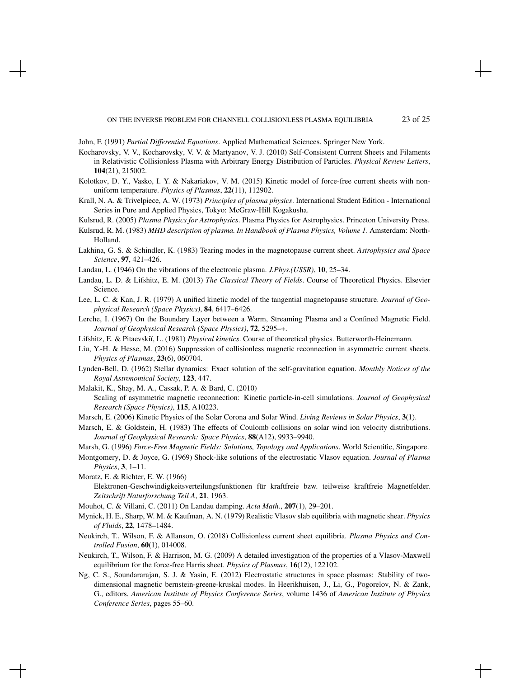John, F. (1991) *Partial Differential Equations*. Applied Mathematical Sciences. Springer New York.

- Kocharovsky, V. V., Kocharovsky, V. V. & Martyanov, V. J. (2010) Self-Consistent Current Sheets and Filaments in Relativistic Collisionless Plasma with Arbitrary Energy Distribution of Particles. *Physical Review Letters*, 104(21), 215002.
- Kolotkov, D. Y., Vasko, I. Y. & Nakariakov, V. M. (2015) Kinetic model of force-free current sheets with nonuniform temperature. *Physics of Plasmas*, 22(11), 112902.
- Krall, N. A. & Trivelpiece, A. W. (1973) *Principles of plasma physics*. International Student Edition International Series in Pure and Applied Physics, Tokyo: McGraw-Hill Kogakusha.
- Kulsrud, R. (2005) *Plasma Physics for Astrophysics*. Plasma Physics for Astrophysics. Princeton University Press. Kulsrud, R. M. (1983) *MHD description of plasma. In Handbook of Plasma Physics, Volume 1*. Amsterdam: North-

Holland.

- Lakhina, G. S. & Schindler, K. (1983) Tearing modes in the magnetopause current sheet. *Astrophysics and Space Science*, 97, 421–426.
- Landau, L. (1946) On the vibrations of the electronic plasma. *J.Phys.(USSR)*, 10, 25–34.
- Landau, L. D. & Lifshitz, E. M. (2013) *The Classical Theory of Fields*. Course of Theoretical Physics. Elsevier Science.
- Lee, L. C. & Kan, J. R. (1979) A unified kinetic model of the tangential magnetopause structure. *Journal of Geophysical Research (Space Physics)*, 84, 6417–6426.
- Lerche, I. (1967) On the Boundary Layer between a Warm, Streaming Plasma and a Confined Magnetic Field. *Journal of Geophysical Research (Space Physics)*, 72, 5295–+.
- Lifshitz, E. & Pitaevski˘ı, L. (1981) *Physical kinetics*. Course of theoretical physics. Butterworth-Heinemann.
- Liu, Y.-H. & Hesse, M. (2016) Suppression of collisionless magnetic reconnection in asymmetric current sheets. *Physics of Plasmas*, 23(6), 060704.
- Lynden-Bell, D. (1962) Stellar dynamics: Exact solution of the self-gravitation equation. *Monthly Notices of the Royal Astronomical Society*, 123, 447.
- Malakit, K., Shay, M. A., Cassak, P. A. & Bard, C. (2010)
	- Scaling of asymmetric magnetic reconnection: Kinetic particle-in-cell simulations. *Journal of Geophysical Research (Space Physics)*, 115, A10223.
- Marsch, E. (2006) Kinetic Physics of the Solar Corona and Solar Wind. *Living Reviews in Solar Physics*, 3(1).
- Marsch, E. & Goldstein, H. (1983) The effects of Coulomb collisions on solar wind ion velocity distributions. *Journal of Geophysical Research: Space Physics*, 88(A12), 9933–9940.

Marsh, G. (1996) *Force-Free Magnetic Fields: Solutions, Topology and Applications*. World Scientific, Singapore.

- Montgomery, D. & Joyce, G. (1969) Shock-like solutions of the electrostatic Vlasov equation. *Journal of Plasma Physics*, 3, 1–11.
- Moratz, E. & Richter, E. W. (1966) Elektronen-Geschwindigkeitsverteilungsfunktionen für kraftfreie bzw. teilweise kraftfreie Magnetfelder. *Zeitschrift Naturforschung Teil A*, 21, 1963.
- Mouhot, C. & Villani, C. (2011) On Landau damping. *Acta Math.*, 207(1), 29–201.
- Mynick, H. E., Sharp, W. M. & Kaufman, A. N. (1979) Realistic Vlasov slab equilibria with magnetic shear. *Physics of Fluids*, 22, 1478–1484.
- Neukirch, T., Wilson, F. & Allanson, O. (2018) Collisionless current sheet equilibria. *Plasma Physics and Controlled Fusion*, 60(1), 014008.
- Neukirch, T., Wilson, F. & Harrison, M. G. (2009) A detailed investigation of the properties of a Vlasov-Maxwell equilibrium for the force-free Harris sheet. *Physics of Plasmas*, 16(12), 122102.
- Ng, C. S., Soundararajan, S. J. & Yasin, E. (2012) Electrostatic structures in space plasmas: Stability of twodimensional magnetic bernstein-greene-kruskal modes. In Heerikhuisen, J., Li, G., Pogorelov, N. & Zank, G., editors, *American Institute of Physics Conference Series*, volume 1436 of *American Institute of Physics Conference Series*, pages 55–60.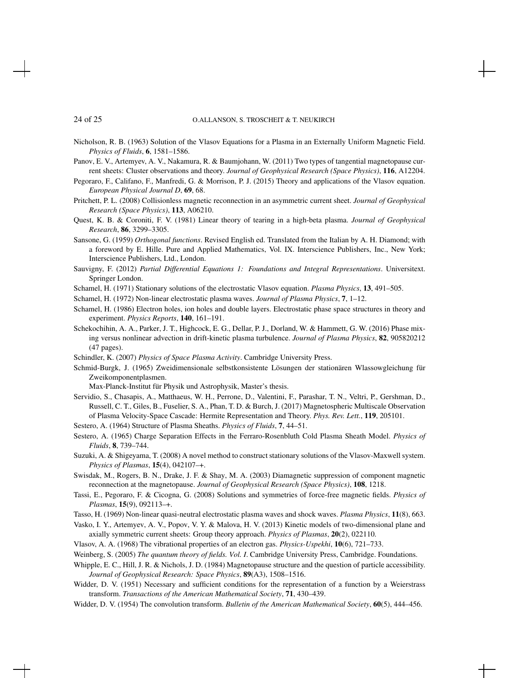Nicholson, R. B. (1963) Solution of the Vlasov Equations for a Plasma in an Externally Uniform Magnetic Field. *Physics of Fluids*, 6, 1581–1586.

- Panov, E. V., Artemyev, A. V., Nakamura, R. & Baumjohann, W. (2011) Two types of tangential magnetopause current sheets: Cluster observations and theory. *Journal of Geophysical Research (Space Physics)*, 116, A12204.
- Pegoraro, F., Califano, F., Manfredi, G. & Morrison, P. J. (2015) Theory and applications of the Vlasov equation. *European Physical Journal D*, 69, 68.
- Pritchett, P. L. (2008) Collisionless magnetic reconnection in an asymmetric current sheet. *Journal of Geophysical Research (Space Physics)*, 113, A06210.
- Quest, K. B. & Coroniti, F. V. (1981) Linear theory of tearing in a high-beta plasma. *Journal of Geophysical Research*, 86, 3299–3305.
- Sansone, G. (1959) *Orthogonal functions*. Revised English ed. Translated from the Italian by A. H. Diamond; with a foreword by E. Hille. Pure and Applied Mathematics, Vol. IX. Interscience Publishers, Inc., New York; Interscience Publishers, Ltd., London.
- Sauvigny, F. (2012) *Partial Differential Equations 1: Foundations and Integral Representations*. Universitext. Springer London.
- Schamel, H. (1971) Stationary solutions of the electrostatic Vlasov equation. *Plasma Physics*, 13, 491–505.
- Schamel, H. (1972) Non-linear electrostatic plasma waves. *Journal of Plasma Physics*, 7, 1–12.
- Schamel, H. (1986) Electron holes, ion holes and double layers. Electrostatic phase space structures in theory and experiment. *Physics Reports*, 140, 161–191.
- Schekochihin, A. A., Parker, J. T., Highcock, E. G., Dellar, P. J., Dorland, W. & Hammett, G. W. (2016) Phase mixing versus nonlinear advection in drift-kinetic plasma turbulence. *Journal of Plasma Physics*, 82, 905820212 (47 pages).
- Schindler, K. (2007) *Physics of Space Plasma Activity*. Cambridge University Press.
- Schmid-Burgk, J. (1965) Zweidimensionale selbstkonsistente Lösungen der stationären Wlassowgleichung für Zweikomponentplasmen.

Max-Planck-Institut für Physik und Astrophysik, Master's thesis.

Servidio, S., Chasapis, A., Matthaeus, W. H., Perrone, D., Valentini, F., Parashar, T. N., Veltri, P., Gershman, D., Russell, C. T., Giles, B., Fuselier, S. A., Phan, T. D. & Burch, J. (2017) Magnetospheric Multiscale Observation of Plasma Velocity-Space Cascade: Hermite Representation and Theory. *Phys. Rev. Lett.*, 119, 205101.

Sestero, A. (1964) Structure of Plasma Sheaths. *Physics of Fluids*, 7, 44–51.

- Sestero, A. (1965) Charge Separation Effects in the Ferraro-Rosenbluth Cold Plasma Sheath Model. *Physics of Fluids*, 8, 739–744.
- Suzuki, A. & Shigeyama, T. (2008) A novel method to construct stationary solutions of the Vlasov-Maxwell system. *Physics of Plasmas*, 15(4), 042107–+.
- Swisdak, M., Rogers, B. N., Drake, J. F. & Shay, M. A. (2003) Diamagnetic suppression of component magnetic reconnection at the magnetopause. *Journal of Geophysical Research (Space Physics)*, 108, 1218.
- Tassi, E., Pegoraro, F. & Cicogna, G. (2008) Solutions and symmetries of force-free magnetic fields. *Physics of Plasmas*, 15(9), 092113–+.

Tasso, H. (1969) Non-linear quasi-neutral electrostatic plasma waves and shock waves. *Plasma Physics*, 11(8), 663.

- Vasko, I. Y., Artemyev, A. V., Popov, V. Y. & Malova, H. V. (2013) Kinetic models of two-dimensional plane and axially symmetric current sheets: Group theory approach. *Physics of Plasmas*, 20(2), 022110.
- Vlasov, A. A. (1968) The vibrational properties of an electron gas. *Physics-Uspekhi*, 10(6), 721–733.
- Weinberg, S. (2005) *The quantum theory of fields. Vol. I*. Cambridge University Press, Cambridge. Foundations.
- Whipple, E. C., Hill, J. R. & Nichols, J. D. (1984) Magnetopause structure and the question of particle accessibility. *Journal of Geophysical Research: Space Physics*, 89(A3), 1508–1516.
- Widder, D. V. (1951) Necessary and sufficient conditions for the representation of a function by a Weierstrass transform. *Transactions of the American Mathematical Society*, 71, 430–439.
- Widder, D. V. (1954) The convolution transform. *Bulletin of the American Mathematical Society*, 60(5), 444–456.